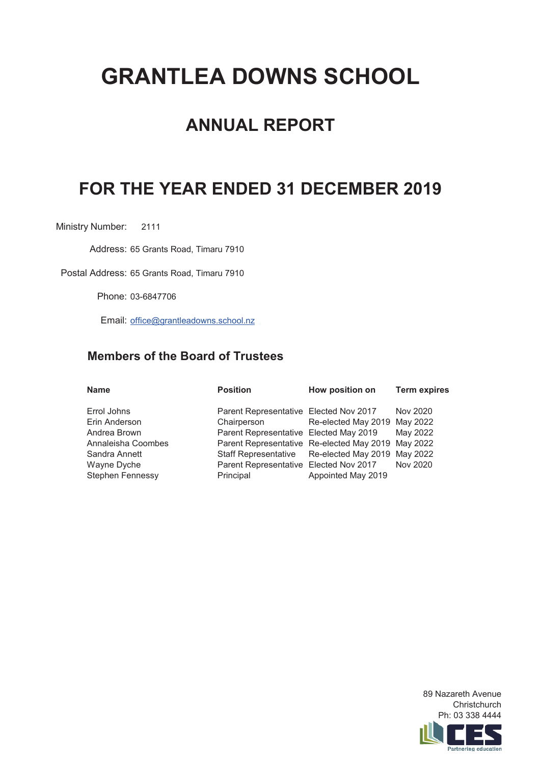# **GRANTLEA DOWNS SCHOOL**

# **ANNUAL REPORT**

# **FOR THE YEAR ENDED 31 DECEMBER 2019**

Ministry Number: 2111

Address: 65 Grants Road, Timaru 7910

Postal Address: 65 Grants Road, Timaru 7910

Phone: 03-6847706

Email: office@grantleadowns.school.nz

# **Members of the Board of Trustees**

| <b>Name</b>                                                                                                                   | <b>Position</b>                                                                                                                                                                                                                             | How position on                                                                    | <b>Term expires</b>              |
|-------------------------------------------------------------------------------------------------------------------------------|---------------------------------------------------------------------------------------------------------------------------------------------------------------------------------------------------------------------------------------------|------------------------------------------------------------------------------------|----------------------------------|
| Errol Johns<br>Erin Anderson<br>Andrea Brown<br>Annaleisha Coombes<br>Sandra Annett<br>Wayne Dyche<br><b>Stephen Fennessy</b> | Parent Representative Elected Nov 2017<br>Chairperson<br>Parent Representative Elected May 2019<br>Parent Representative Re-elected May 2019 May 2022<br><b>Staff Representative</b><br>Parent Representative Elected Nov 2017<br>Principal | Re-elected May 2019 May 2022<br>Re-elected May 2019 May 2022<br>Appointed May 2019 | Nov 2020<br>May 2022<br>Nov 2020 |
|                                                                                                                               |                                                                                                                                                                                                                                             |                                                                                    |                                  |

89 Nazareth Avenue **Christchurch** Ph: 03 338 4444

Partnering education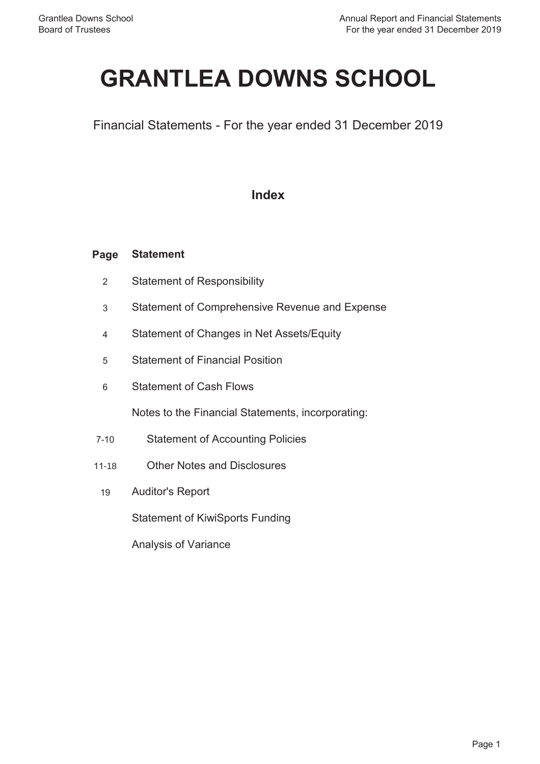# **GRANTLEA DOWNS SCHOOL**

Financial Statements - For the year ended 31 December 2019

# **Index**

#### **Page Statement**

- 2 Statement of Responsibility
- 3 Statement of Comprehensive Revenue and Expense
- 4 Statement of Changes in Net Assets/Equity
- 5 Statement of Financial Position
- 6 Statement of Cash Flows

Notes to the Financial Statements, incorporating:

- 7-10 Statement of Accounting Policies
- 11-18 Other Notes and Disclosures
	- 19 Auditor's Report

Statement of KiwiSports Funding

Analysis of Variance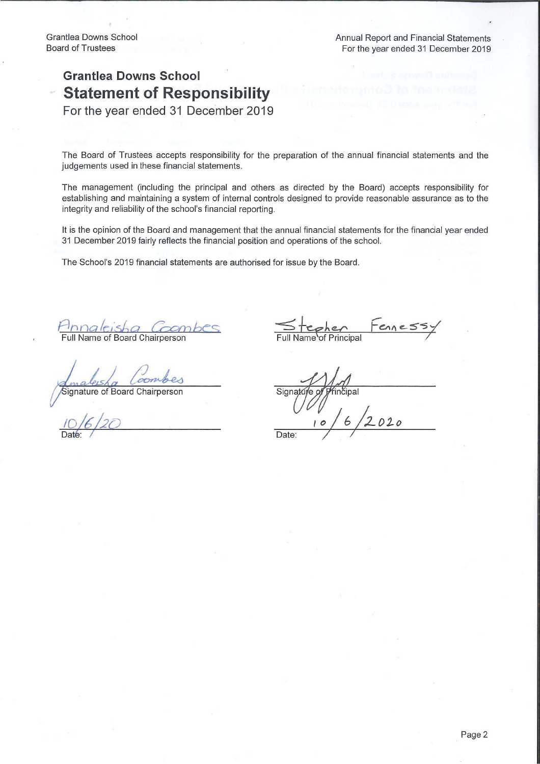# **Grantlea Downs School Statement of Responsibility**

For the year ended 31 December 2019

The Board of Trustees accepts responsibility for the preparation of the annual financial statements and the judgements used in these financial statements.

The management (including the principal and others as directed by the Board) accepts responsibility for establishing and maintaining a system of internal controls designed to provide reasonable assurance as to the integrity and reliability of the school's financial reporting.

It is the opinion of the Board and management that the annual financial statements for the financial year ended 31 December 2019 fairly reflects the financial position and operations of the school.

The School's 2019 financial statements are authorised for issue by the Board.

Full Name of Board Chairpersor

Signature of Board Chairperson

Signature o fincipal

Date: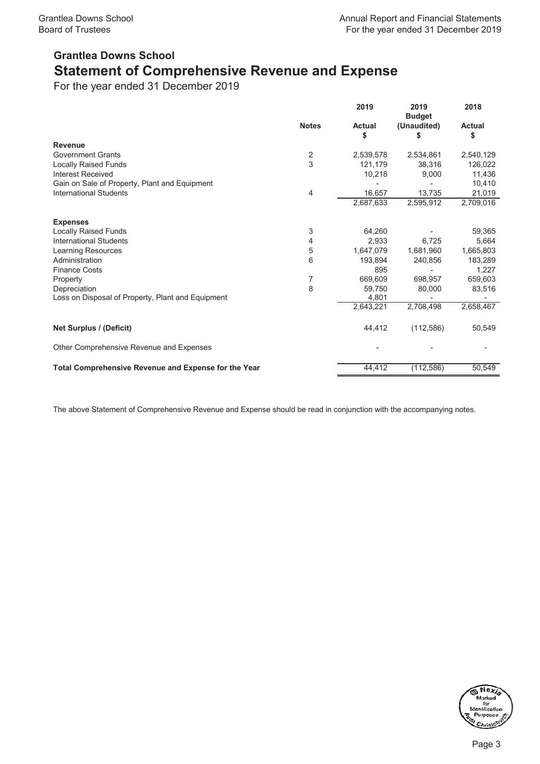# **Grantlea Downs School Statement of Comprehensive Revenue and Expense**

For the year ended 31 December 2019

|                                                             |                | 2019                | 2019<br><b>Budget</b> | 2018                |
|-------------------------------------------------------------|----------------|---------------------|-----------------------|---------------------|
|                                                             | <b>Notes</b>   | <b>Actual</b><br>\$ | (Unaudited)<br>S      | <b>Actual</b><br>\$ |
| <b>Revenue</b>                                              |                |                     |                       |                     |
| <b>Government Grants</b>                                    | $\overline{2}$ | 2,539,578           | 2,534,861             | 2,540,129           |
| <b>Locally Raised Funds</b>                                 | 3              | 121,179             | 38,316                | 126,022             |
| <b>Interest Received</b>                                    |                | 10,218              | 9,000                 | 11,436              |
| Gain on Sale of Property, Plant and Equipment               |                |                     |                       | 10,410              |
| <b>International Students</b>                               | 4              | 16,657              | 13,735                | 21,019              |
|                                                             |                | 2,687,633           | 2,595,912             | 2,709,016           |
| <b>Expenses</b>                                             |                |                     |                       |                     |
| <b>Locally Raised Funds</b>                                 | 3              | 64,260              |                       | 59,365              |
| <b>International Students</b>                               | 4              | 2,933               | 6,725                 | 5,664               |
| Learning Resources                                          | 5              | 1,647,079           | 1,681,960             | 1,665,803           |
| Administration                                              | 6              | 193,894             | 240,856               | 183,289             |
| <b>Finance Costs</b>                                        |                | 895                 |                       | 1,227               |
| Property                                                    | 7              | 669,609             | 698.957               | 659,603             |
| Depreciation                                                | 8              | 59.750              | 80,000                | 83,516              |
| Loss on Disposal of Property, Plant and Equipment           |                | 4,801               |                       |                     |
|                                                             |                | 2,643,221           | 2,708,498             | 2,658,467           |
| <b>Net Surplus / (Deficit)</b>                              |                | 44,412              | (112, 586)            | 50,549              |
| Other Comprehensive Revenue and Expenses                    |                |                     |                       |                     |
| <b>Total Comprehensive Revenue and Expense for the Year</b> |                | 44,412              | (112, 586)            | 50,549              |

The above Statement of Comprehensive Revenue and Expense should be read in conjunction with the accompanying notes.

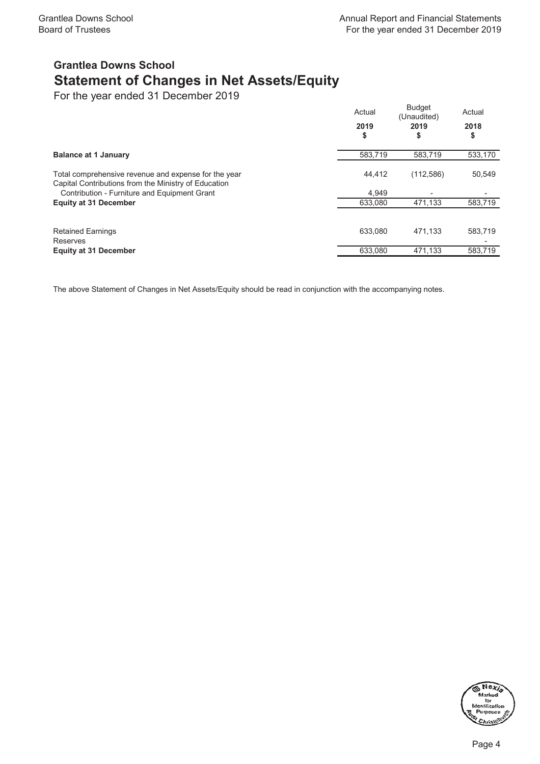# **Grantlea Downs School Statement of Changes in Net Assets/Equity**

For the year ended 31 December 2019

|                                                                                                              | Actual<br>2019<br>\$ | <b>Budget</b><br>(Unaudited)<br>2019<br>\$ | Actual<br>2018<br>\$ |
|--------------------------------------------------------------------------------------------------------------|----------------------|--------------------------------------------|----------------------|
| <b>Balance at 1 January</b>                                                                                  | 583,719              | 583.719                                    | 533,170              |
| Total comprehensive revenue and expense for the year<br>Capital Contributions from the Ministry of Education | 44.412               | (112, 586)                                 | 50,549               |
| Contribution - Furniture and Equipment Grant                                                                 | 4.949                | -                                          |                      |
| <b>Equity at 31 December</b>                                                                                 | 633,080              | 471,133                                    | 583,719              |
| <b>Retained Earnings</b>                                                                                     | 633.080              | 471.133                                    | 583,719              |
| Reserves<br><b>Equity at 31 December</b>                                                                     | 633,080              | 471,133                                    | 583.719              |
|                                                                                                              |                      |                                            |                      |

The above Statement of Changes in Net Assets/Equity should be read in conjunction with the accompanying notes.

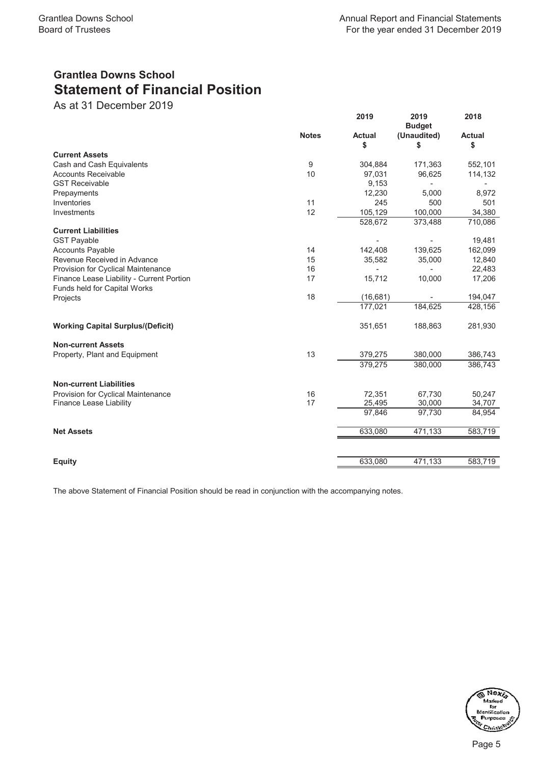# **Grantlea Downs School Statement of Financial Position**

As at 31 December 2019

|                                           |              | 2019          | 2019<br><b>Budget</b> | 2018          |
|-------------------------------------------|--------------|---------------|-----------------------|---------------|
|                                           | <b>Notes</b> | <b>Actual</b> | (Unaudited)           | <b>Actual</b> |
|                                           |              | \$            | \$                    | \$            |
| <b>Current Assets</b>                     |              |               |                       |               |
| Cash and Cash Equivalents                 | 9            | 304,884       | 171,363               | 552,101       |
| <b>Accounts Receivable</b>                | 10           | 97,031        | 96,625                | 114,132       |
| <b>GST Receivable</b>                     |              | 9,153         |                       |               |
| Prepayments                               |              | 12,230        | 5.000                 | 8,972         |
| Inventories                               | 11           | 245           | 500                   | 501           |
| Investments                               | 12           | 105,129       | 100,000               | 34,380        |
|                                           |              | 528,672       | 373,488               | 710,086       |
| <b>Current Liabilities</b>                |              |               |                       |               |
| <b>GST Payable</b>                        |              |               |                       | 19,481        |
| <b>Accounts Payable</b>                   | 14           | 142,408       | 139,625               | 162,099       |
| Revenue Received in Advance               | 15           | 35,582        | 35,000                | 12,840        |
| Provision for Cyclical Maintenance        | 16           |               |                       | 22,483        |
| Finance Lease Liability - Current Portion | 17           | 15,712        | 10,000                | 17,206        |
| Funds held for Capital Works              |              |               |                       |               |
| Projects                                  | 18           | (16, 681)     |                       | 194,047       |
|                                           |              | 177,021       | 184,625               | 428,156       |
| <b>Working Capital Surplus/(Deficit)</b>  |              | 351,651       | 188,863               | 281,930       |
| <b>Non-current Assets</b>                 |              |               |                       |               |
| Property, Plant and Equipment             | 13           | 379,275       | 380,000               | 386,743       |
|                                           |              | 379,275       | 380,000               | 386,743       |
| <b>Non-current Liabilities</b>            |              |               |                       |               |
| Provision for Cyclical Maintenance        | 16           | 72,351        | 67,730                | 50,247        |
| Finance Lease Liability                   | 17           | 25,495        | 30,000                | 34,707        |
|                                           |              | 97,846        | 97,730                | 84,954        |
| <b>Net Assets</b>                         |              | 633,080       | 471,133               | 583,719       |
|                                           |              |               |                       |               |
| <b>Equity</b>                             |              | 633,080       | 471,133               | 583,719       |

The above Statement of Financial Position should be read in conjunction with the accompanying notes.

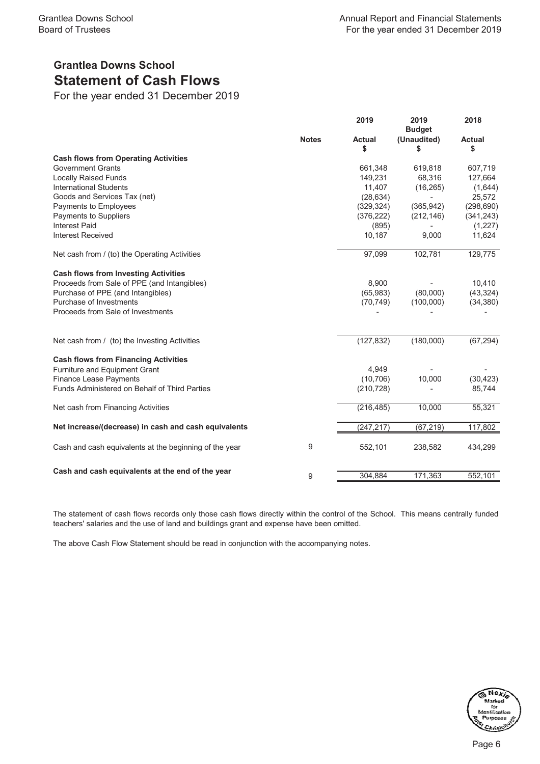# **Grantlea Downs School Statement of Cash Flows**

For the year ended 31 December 2019

|                                                        |              | 2019                | 2019<br><b>Budget</b> | 2018                |
|--------------------------------------------------------|--------------|---------------------|-----------------------|---------------------|
|                                                        | <b>Notes</b> | <b>Actual</b><br>\$ | (Unaudited)<br>\$     | <b>Actual</b><br>\$ |
| <b>Cash flows from Operating Activities</b>            |              |                     |                       |                     |
| <b>Government Grants</b>                               |              | 661,348             | 619,818               | 607,719             |
| <b>Locally Raised Funds</b>                            |              | 149,231             | 68,316                | 127,664             |
| <b>International Students</b>                          |              | 11,407              | (16, 265)             | (1,644)             |
| Goods and Services Tax (net)                           |              | (28, 634)           |                       | 25,572              |
| Payments to Employees                                  |              | (329, 324)          | (365, 942)            | (298, 690)          |
| Payments to Suppliers                                  |              | (376, 222)          | (212, 146)            | (341, 243)          |
| <b>Interest Paid</b>                                   |              | (895)               |                       | (1, 227)            |
| <b>Interest Received</b>                               |              | 10,187              | 9,000                 | 11,624              |
| Net cash from / (to) the Operating Activities          |              | 97,099              | 102,781               | 129,775             |
| <b>Cash flows from Investing Activities</b>            |              |                     |                       |                     |
| Proceeds from Sale of PPE (and Intangibles)            |              | 8,900               |                       | 10,410              |
| Purchase of PPE (and Intangibles)                      |              | (65, 983)           | (80,000)              | (43, 324)           |
| Purchase of Investments                                |              | (70, 749)           | (100,000)             | (34, 380)           |
| Proceeds from Sale of Investments                      |              |                     |                       |                     |
| Net cash from / (to) the Investing Activities          |              | (127, 832)          | (180,000)             | (67, 294)           |
| <b>Cash flows from Financing Activities</b>            |              |                     |                       |                     |
| Furniture and Equipment Grant                          |              | 4,949               |                       |                     |
| <b>Finance Lease Payments</b>                          |              | (10, 706)           | 10,000                | (30, 423)           |
| <b>Funds Administered on Behalf of Third Parties</b>   |              | (210, 728)          |                       | 85,744              |
| Net cash from Financing Activities                     |              | (216, 485)          | 10,000                | 55,321              |
| Net increase/(decrease) in cash and cash equivalents   |              | (247, 217)          | (67, 219)             | 117,802             |
| Cash and cash equivalents at the beginning of the year | 9            | 552,101             | 238,582               | 434,299             |
| Cash and cash equivalents at the end of the year       |              |                     |                       |                     |
|                                                        | 9            | 304,884             | 171,363               | 552,101             |

The statement of cash flows records only those cash flows directly within the control of the School. This means centrally funded teachers' salaries and the use of land and buildings grant and expense have been omitted.

The above Cash Flow Statement should be read in conjunction with the accompanying notes.

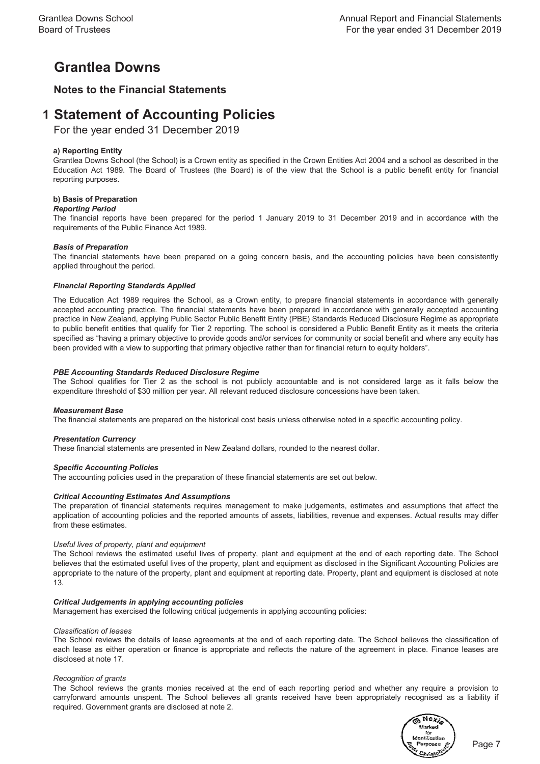# **Grantlea Downs**

# **Notes to the Financial Statements**

# **1 Statement of Accounting Policies**

For the year ended 31 December 2019

# **a) Reporting Entity**

Grantlea Downs School (the School) is a Crown entity as specified in the Crown Entities Act 2004 and a school as described in the Education Act 1989. The Board of Trustees (the Board) is of the view that the School is a public benefit entity for financial reporting purposes.

## **b) Basis of Preparation**

## *Reporting Period*

The financial reports have been prepared for the period 1 January 2019 to 31 December 2019 and in accordance with the requirements of the Public Finance Act 1989.

## *Basis of Preparation*

The financial statements have been prepared on a going concern basis, and the accounting policies have been consistently applied throughout the period.

## *Financial Reporting Standards Applied*

The Education Act 1989 requires the School, as a Crown entity, to prepare financial statements in accordance with generally accepted accounting practice. The financial statements have been prepared in accordance with generally accepted accounting practice in New Zealand, applying Public Sector Public Benefit Entity (PBE) Standards Reduced Disclosure Regime as appropriate to public benefit entities that qualify for Tier 2 reporting. The school is considered a Public Benefit Entity as it meets the criteria specified as "having a primary objective to provide goods and/or services for community or social benefit and where any equity has been provided with a view to supporting that primary objective rather than for financial return to equity holders".

## *PBE Accounting Standards Reduced Disclosure Regime*

The School qualifies for Tier 2 as the school is not publicly accountable and is not considered large as it falls below the expenditure threshold of \$30 million per year. All relevant reduced disclosure concessions have been taken.

## *Measurement Base*

The financial statements are prepared on the historical cost basis unless otherwise noted in a specific accounting policy.

## *Presentation Currency*

These financial statements are presented in New Zealand dollars, rounded to the nearest dollar.

## *Specific Accounting Policies*

The accounting policies used in the preparation of these financial statements are set out below.

## *Critical Accounting Estimates And Assumptions*

The preparation of financial statements requires management to make judgements, estimates and assumptions that affect the application of accounting policies and the reported amounts of assets, liabilities, revenue and expenses. Actual results may differ from these estimates.

## *Useful lives of property, plant and equipment*

The School reviews the estimated useful lives of property, plant and equipment at the end of each reporting date. The School believes that the estimated useful lives of the property, plant and equipment as disclosed in the Significant Accounting Policies are appropriate to the nature of the property, plant and equipment at reporting date. Property, plant and equipment is disclosed at note 13.

## *Critical Judgements in applying accounting policies*

Management has exercised the following critical judgements in applying accounting policies:

## *Classification of leases*

The School reviews the details of lease agreements at the end of each reporting date. The School believes the classification of each lease as either operation or finance is appropriate and reflects the nature of the agreement in place. Finance leases are disclosed at note 17.

#### *Recognition of grants*

The School reviews the grants monies received at the end of each reporting period and whether any require a provision to carryforward amounts unspent. The School believes all grants received have been appropriately recognised as a liability if required. Government grants are disclosed at note 2.

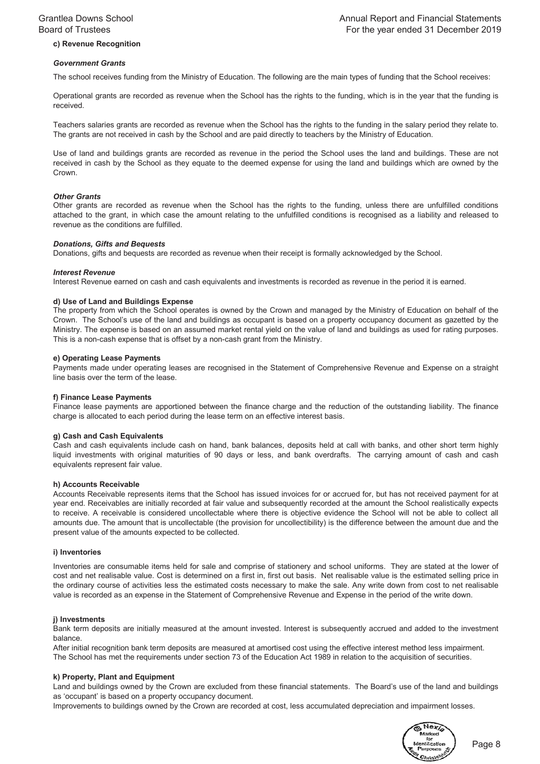# **c) Revenue Recognition**

#### *Government Grants*

The school receives funding from the Ministry of Education. The following are the main types of funding that the School receives:

Operational grants are recorded as revenue when the School has the rights to the funding, which is in the year that the funding is received.

Teachers salaries grants are recorded as revenue when the School has the rights to the funding in the salary period they relate to. The grants are not received in cash by the School and are paid directly to teachers by the Ministry of Education.

Use of land and buildings grants are recorded as revenue in the period the School uses the land and buildings. These are not received in cash by the School as they equate to the deemed expense for using the land and buildings which are owned by the Crown.

#### *Other Grants*

Other grants are recorded as revenue when the School has the rights to the funding, unless there are unfulfilled conditions attached to the grant, in which case the amount relating to the unfulfilled conditions is recognised as a liability and released to revenue as the conditions are fulfilled.

#### *Donations, Gifts and Bequests*

Donations, gifts and bequests are recorded as revenue when their receipt is formally acknowledged by the School.

#### *Interest Revenue*

Interest Revenue earned on cash and cash equivalents and investments is recorded as revenue in the period it is earned.

#### **d) Use of Land and Buildings Expense**

The property from which the School operates is owned by the Crown and managed by the Ministry of Education on behalf of the Crown. The School's use of the land and buildings as occupant is based on a property occupancy document as gazetted by the Ministry. The expense is based on an assumed market rental yield on the value of land and buildings as used for rating purposes. This is a non-cash expense that is offset by a non-cash grant from the Ministry.

#### **e) Operating Lease Payments**

Payments made under operating leases are recognised in the Statement of Comprehensive Revenue and Expense on a straight line basis over the term of the lease.

#### **f) Finance Lease Payments**

Finance lease payments are apportioned between the finance charge and the reduction of the outstanding liability. The finance charge is allocated to each period during the lease term on an effective interest basis.

# **g) Cash and Cash Equivalents**

Cash and cash equivalents include cash on hand, bank balances, deposits held at call with banks, and other short term highly liquid investments with original maturities of 90 days or less, and bank overdrafts. The carrying amount of cash and cash equivalents represent fair value.

## **h) Accounts Receivable**

Accounts Receivable represents items that the School has issued invoices for or accrued for, but has not received payment for at year end. Receivables are initially recorded at fair value and subsequently recorded at the amount the School realistically expects to receive. A receivable is considered uncollectable where there is objective evidence the School will not be able to collect all amounts due. The amount that is uncollectable (the provision for uncollectibility) is the difference between the amount due and the present value of the amounts expected to be collected.

#### **i) Inventories**

Inventories are consumable items held for sale and comprise of stationery and school uniforms. They are stated at the lower of cost and net realisable value. Cost is determined on a first in, first out basis. Net realisable value is the estimated selling price in the ordinary course of activities less the estimated costs necessary to make the sale. Any write down from cost to net realisable value is recorded as an expense in the Statement of Comprehensive Revenue and Expense in the period of the write down.

#### **j) Investments**

Bank term deposits are initially measured at the amount invested. Interest is subsequently accrued and added to the investment balance.

After initial recognition bank term deposits are measured at amortised cost using the effective interest method less impairment. The School has met the requirements under section 73 of the Education Act 1989 in relation to the acquisition of securities.

## **k) Property, Plant and Equipment**

Land and buildings owned by the Crown are excluded from these financial statements. The Board's use of the land and buildings as 'occupant' is based on a property occupancy document.

Improvements to buildings owned by the Crown are recorded at cost, less accumulated depreciation and impairment losses.



Page 8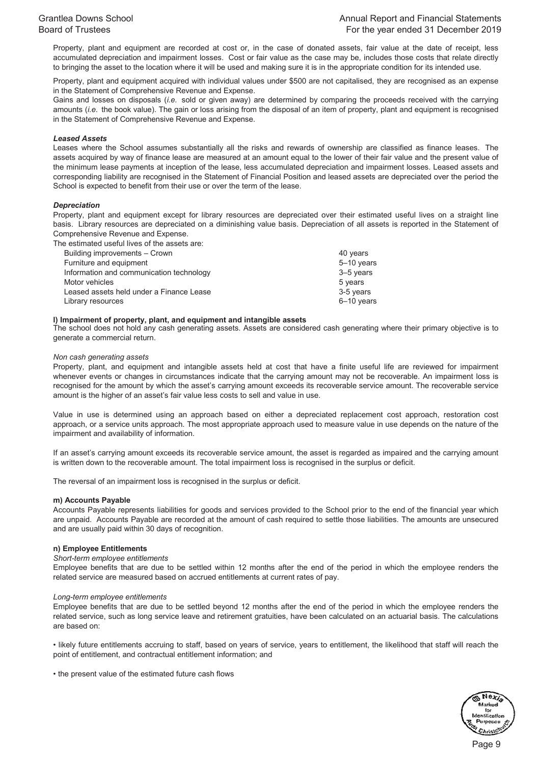Property, plant and equipment are recorded at cost or, in the case of donated assets, fair value at the date of receipt, less accumulated depreciation and impairment losses. Cost or fair value as the case may be, includes those costs that relate directly to bringing the asset to the location where it will be used and making sure it is in the appropriate condition for its intended use.

Property, plant and equipment acquired with individual values under \$500 are not capitalised, they are recognised as an expense in the Statement of Comprehensive Revenue and Expense.

Gains and losses on disposals (*i.e.* sold or given away) are determined by comparing the proceeds received with the carrying amounts (*i.e.* the book value). The gain or loss arising from the disposal of an item of property, plant and equipment is recognised in the Statement of Comprehensive Revenue and Expense.

#### *Leased Assets*

Leases where the School assumes substantially all the risks and rewards of ownership are classified as finance leases. The assets acquired by way of finance lease are measured at an amount equal to the lower of their fair value and the present value of the minimum lease payments at inception of the lease, less accumulated depreciation and impairment losses. Leased assets and corresponding liability are recognised in the Statement of Financial Position and leased assets are depreciated over the period the School is expected to benefit from their use or over the term of the lease.

## *Depreciation*

Property, plant and equipment except for library resources are depreciated over their estimated useful lives on a straight line basis. Library resources are depreciated on a diminishing value basis. Depreciation of all assets is reported in the Statement of Comprehensive Revenue and Expense.

The estimated useful lives of the assets are:

| Building improvements - Crown            | 40 years   |
|------------------------------------------|------------|
| Furniture and equipment                  | 5-10 years |
| Information and communication technology | 3-5 years  |
| Motor vehicles                           | 5 years    |
| Leased assets held under a Finance Lease | 3-5 years  |
| Library resources                        | 6-10 years |

#### **l) Impairment of property, plant, and equipment and intangible assets**

The school does not hold any cash generating assets. Assets are considered cash generating where their primary objective is to generate a commercial return.

#### *Non cash generating assets*

Property, plant, and equipment and intangible assets held at cost that have a finite useful life are reviewed for impairment whenever events or changes in circumstances indicate that the carrying amount may not be recoverable. An impairment loss is recognised for the amount by which the asset's carrying amount exceeds its recoverable service amount. The recoverable service amount is the higher of an asset's fair value less costs to sell and value in use.

Value in use is determined using an approach based on either a depreciated replacement cost approach, restoration cost approach, or a service units approach. The most appropriate approach used to measure value in use depends on the nature of the impairment and availability of information.

If an asset's carrying amount exceeds its recoverable service amount, the asset is regarded as impaired and the carrying amount is written down to the recoverable amount. The total impairment loss is recognised in the surplus or deficit.

The reversal of an impairment loss is recognised in the surplus or deficit.

#### **m) Accounts Payable**

Accounts Payable represents liabilities for goods and services provided to the School prior to the end of the financial year which are unpaid. Accounts Payable are recorded at the amount of cash required to settle those liabilities. The amounts are unsecured and are usually paid within 30 days of recognition.

#### **n) Employee Entitlements**

#### *Short-term employee entitlements*

Employee benefits that are due to be settled within 12 months after the end of the period in which the employee renders the related service are measured based on accrued entitlements at current rates of pay.

#### *Long-term employee entitlements*

Employee benefits that are due to be settled beyond 12 months after the end of the period in which the employee renders the related service, such as long service leave and retirement gratuities, have been calculated on an actuarial basis. The calculations are based on:

• likely future entitlements accruing to staff, based on years of service, years to entitlement, the likelihood that staff will reach the point of entitlement, and contractual entitlement information; and

• the present value of the estimated future cash flows

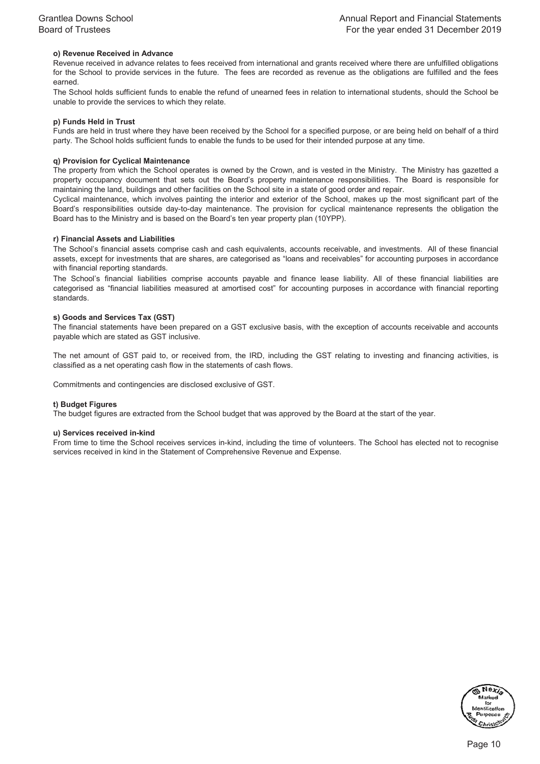## **o) Revenue Received in Advance**

Revenue received in advance relates to fees received from international and grants received where there are unfulfilled obligations for the School to provide services in the future. The fees are recorded as revenue as the obligations are fulfilled and the fees earned.

The School holds sufficient funds to enable the refund of unearned fees in relation to international students, should the School be unable to provide the services to which they relate.

#### **p) Funds Held in Trust**

Funds are held in trust where they have been received by the School for a specified purpose, or are being held on behalf of a third party. The School holds sufficient funds to enable the funds to be used for their intended purpose at any time.

#### **q) Provision for Cyclical Maintenance**

The property from which the School operates is owned by the Crown, and is vested in the Ministry. The Ministry has gazetted a property occupancy document that sets out the Board's property maintenance responsibilities. The Board is responsible for maintaining the land, buildings and other facilities on the School site in a state of good order and repair.

Cyclical maintenance, which involves painting the interior and exterior of the School, makes up the most significant part of the Board's responsibilities outside day-to-day maintenance. The provision for cyclical maintenance represents the obligation the Board has to the Ministry and is based on the Board's ten year property plan (10YPP).

#### **r) Financial Assets and Liabilities**

The School's financial assets comprise cash and cash equivalents, accounts receivable, and investments. All of these financial assets, except for investments that are shares, are categorised as "loans and receivables" for accounting purposes in accordance with financial reporting standards.

The School's financial liabilities comprise accounts payable and finance lease liability. All of these financial liabilities are categorised as "financial liabilities measured at amortised cost" for accounting purposes in accordance with financial reporting standards.

#### **s) Goods and Services Tax (GST)**

The financial statements have been prepared on a GST exclusive basis, with the exception of accounts receivable and accounts payable which are stated as GST inclusive.

The net amount of GST paid to, or received from, the IRD, including the GST relating to investing and financing activities, is classified as a net operating cash flow in the statements of cash flows.

Commitments and contingencies are disclosed exclusive of GST.

#### **t) Budget Figures**

The budget figures are extracted from the School budget that was approved by the Board at the start of the year.

#### **u) Services received in-kind**

From time to time the School receives services in-kind, including the time of volunteers. The School has elected not to recognise services received in kind in the Statement of Comprehensive Revenue and Expense.

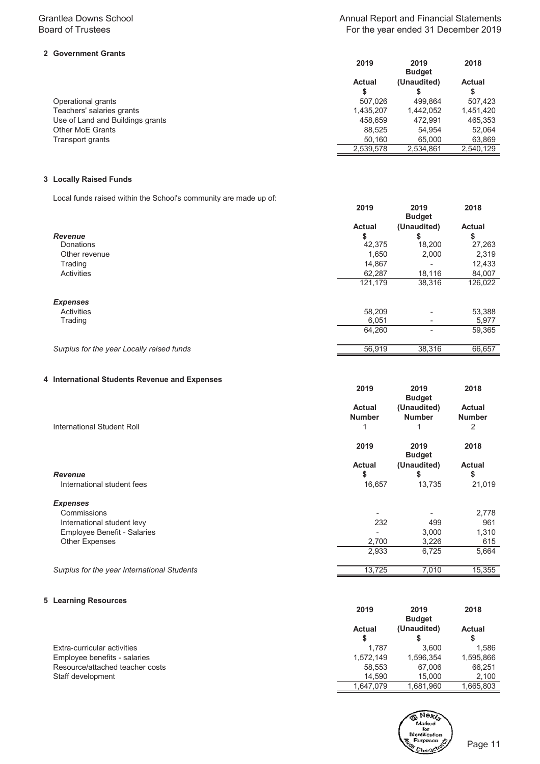# **2 Government Grants**

# Annual Report and Financial Statements For the year ended 31 December 2019

|                                  | 2019          | 2019          | 2018          |
|----------------------------------|---------------|---------------|---------------|
|                                  |               | <b>Budget</b> |               |
|                                  | <b>Actual</b> | (Unaudited)   | <b>Actual</b> |
|                                  | \$            |               |               |
| Operational grants               | 507.026       | 499.864       | 507.423       |
| Teachers' salaries grants        | 1.435.207     | 1.442.052     | 1,451,420     |
| Use of Land and Buildings grants | 458.659       | 472.991       | 465,353       |
| <b>Other MoE Grants</b>          | 88.525        | 54.954        | 52.064        |
| Transport grants                 | 50.160        | 65.000        | 63,869        |
|                                  | 2,539,578     | 2.534.861     | 2.540.129     |

# **3 Locally Raised Funds**

Local funds raised within the School's community are made up of:

|                                           | 2019          | 2019<br><b>Budget</b>    | 2018          |
|-------------------------------------------|---------------|--------------------------|---------------|
|                                           | <b>Actual</b> | (Unaudited)              | <b>Actual</b> |
| <b>Revenue</b>                            | \$            | S                        | \$            |
| Donations                                 | 42,375        | 18,200                   | 27,263        |
| Other revenue                             | 1,650         | 2,000                    | 2,319         |
| Trading                                   | 14,867        | ۰                        | 12,433        |
| Activities                                | 62,287        | 18,116                   | 84,007        |
|                                           | 121,179       | 38,316                   | 126,022       |
| <b>Expenses</b>                           |               |                          |               |
| Activities                                | 58,209        | $\overline{\phantom{0}}$ | 53,388        |
| Trading                                   | 6,051         |                          | 5,977         |
|                                           | 64,260        |                          | 59,365        |
| Surplus for the year Locally raised funds | 56,919        | 38,316                   | 66,657        |

# **4 International Students Revenue and Expenses**

|                                             | 2019                           | 2019<br><b>Budget</b>        | 2018                           |
|---------------------------------------------|--------------------------------|------------------------------|--------------------------------|
|                                             | <b>Actual</b><br><b>Number</b> | (Unaudited)<br><b>Number</b> | <b>Actual</b><br><b>Number</b> |
| International Student Roll                  | 1                              | 1                            | 2                              |
|                                             | 2019                           | 2019<br><b>Budget</b>        | 2018                           |
|                                             | <b>Actual</b>                  | (Unaudited)                  | <b>Actual</b>                  |
| <b>Revenue</b>                              | \$                             | \$                           | \$                             |
| International student fees                  | 16,657                         | 13,735                       | 21,019                         |
| <b>Expenses</b>                             |                                |                              |                                |
| Commissions                                 | ٠                              |                              | 2,778                          |
| International student levy                  | 232                            | 499                          | 961                            |
| Employee Benefit - Salaries                 |                                | 3,000                        | 1,310                          |
| <b>Other Expenses</b>                       | 2,700                          | 3,226                        | 615                            |
|                                             | 2,933                          | 6,725                        | 5,664                          |
| Surplus for the year International Students | 13,725                         | 7,010                        | 15,355                         |

## **5 Learning Resources**

|                                 | 2019          | 2019<br><b>Budget</b> | 2018          |
|---------------------------------|---------------|-----------------------|---------------|
|                                 | <b>Actual</b> | (Unaudited)           | <b>Actual</b> |
|                                 | S             |                       |               |
| Extra-curricular activities     | 1.787         | 3.600                 | 1.586         |
| Employee benefits - salaries    | 1.572.149     | 1,596,354             | 1,595,866     |
| Resource/attached teacher costs | 58,553        | 67.006                | 66,251        |
| Staff development               | 14.590        | 15.000                | 2.100         |
|                                 | 1.647.079     | 1.681.960             | 1.665.803     |

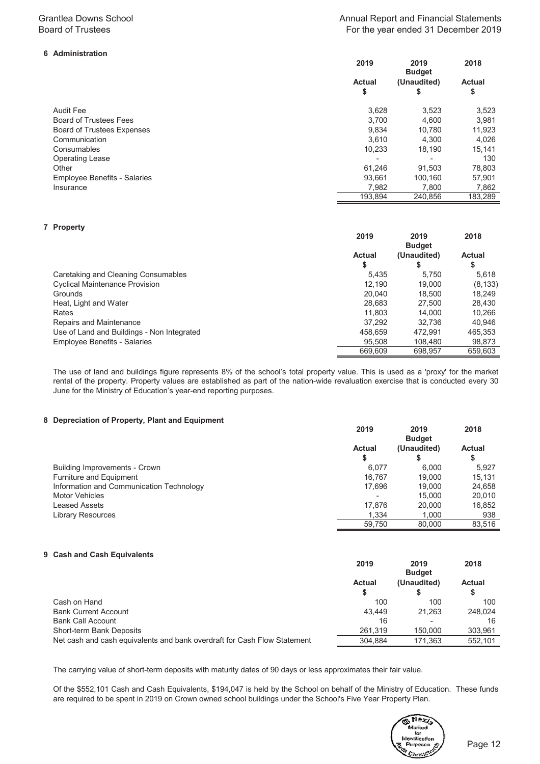# **6 Administration**

# Annual Report and Financial Statements For the year ended 31 December 2019

|                                     | 2019                     | 2019<br><b>Budget</b> | 2018                |
|-------------------------------------|--------------------------|-----------------------|---------------------|
|                                     | <b>Actual</b><br>\$      | (Unaudited)<br>\$     | <b>Actual</b><br>\$ |
| <b>Audit Fee</b>                    | 3.628                    | 3,523                 | 3,523               |
| <b>Board of Trustees Fees</b>       | 3.700                    | 4.600                 | 3,981               |
| <b>Board of Trustees Expenses</b>   | 9.834                    | 10.780                | 11,923              |
| Communication                       | 3.610                    | 4.300                 | 4,026               |
| Consumables                         | 10,233                   | 18,190                | 15,141              |
| <b>Operating Lease</b>              | $\overline{\phantom{0}}$ |                       | 130                 |
| Other                               | 61.246                   | 91.503                | 78,803              |
| <b>Employee Benefits - Salaries</b> | 93.661                   | 100.160               | 57,901              |
| Insurance                           | 7,982                    | 7,800                 | 7,862               |
|                                     | 193,894                  | 240.856               | 183.289             |

#### **7 Property**

| . <b>.</b> ,                               | 2019          | 2019<br><b>Budget</b> | 2018          |
|--------------------------------------------|---------------|-----------------------|---------------|
|                                            | <b>Actual</b> | (Unaudited)           | <b>Actual</b> |
|                                            | \$            |                       | \$            |
| Caretaking and Cleaning Consumables        | 5.435         | 5.750                 | 5.618         |
| <b>Cyclical Maintenance Provision</b>      | 12.190        | 19,000                | (8, 133)      |
| Grounds                                    | 20.040        | 18.500                | 18.249        |
| Heat, Light and Water                      | 28.683        | 27,500                | 28.430        |
| Rates                                      | 11.803        | 14.000                | 10,266        |
| Repairs and Maintenance                    | 37.292        | 32.736                | 40.946        |
| Use of Land and Buildings - Non Integrated | 458.659       | 472.991               | 465,353       |
| <b>Employee Benefits - Salaries</b>        | 95.508        | 108.480               | 98,873        |
|                                            | 669,609       | 698.957               | 659.603       |

The use of land and buildings figure represents 8% of the school's total property value. This is used as a 'proxy' for the market rental of the property. Property values are established as part of the nation-wide revaluation exercise that is conducted every 30 June for the Ministry of Education's year-end reporting purposes.

#### **8 Depreciation of Property, Plant and Equipment**

|                                          | 2019          | 2019          | 2018          |
|------------------------------------------|---------------|---------------|---------------|
|                                          |               | <b>Budget</b> |               |
|                                          | <b>Actual</b> | (Unaudited)   | <b>Actual</b> |
|                                          | \$            | \$            | จ             |
| Building Improvements - Crown            | 6.077         | 6.000         | 5.927         |
| Furniture and Equipment                  | 16.767        | 19,000        | 15,131        |
| Information and Communication Technology | 17.696        | 19,000        | 24.658        |
| <b>Motor Vehicles</b>                    |               | 15.000        | 20,010        |
| Leased Assets                            | 17.876        | 20,000        | 16,852        |
| Library Resources                        | 1.334         | 1,000         | 938           |
|                                          | 59.750        | 80.000        | 83.516        |

#### **9 Cash and Cash Equivalents**

|                                                                          | 2019          | 2019<br><b>Budget</b> | 2018          |
|--------------------------------------------------------------------------|---------------|-----------------------|---------------|
|                                                                          | <b>Actual</b> | (Unaudited)           | <b>Actual</b> |
|                                                                          |               |                       |               |
| Cash on Hand                                                             | 100           | 100                   | 100           |
| <b>Bank Current Account</b>                                              | 43.449        | 21.263                | 248.024       |
| <b>Bank Call Account</b>                                                 | 16            |                       | 16            |
| Short-term Bank Deposits                                                 | 261.319       | 150,000               | 303.961       |
| Net cash and cash equivalents and bank overdraft for Cash Flow Statement | 304.884       | 171.363               | 552.101       |

The carrying value of short-term deposits with maturity dates of 90 days or less approximates their fair value.

Of the \$552,101 Cash and Cash Equivalents, \$194,047 is held by the School on behalf of the Ministry of Education. These funds are required to be spent in 2019 on Crown owned school buildings under the School's Five Year Property Plan.

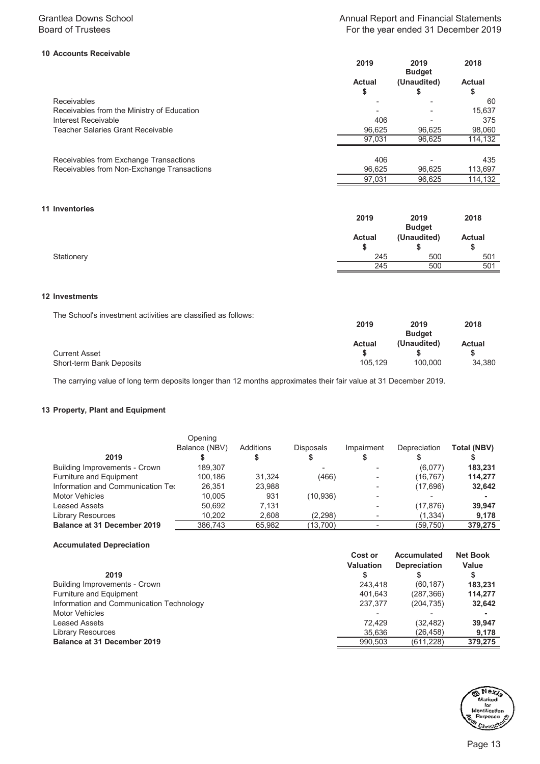# **10 Accounts Receivable**

|                                            | 2019                     | 2019<br><b>Budget</b> | 2018                |
|--------------------------------------------|--------------------------|-----------------------|---------------------|
|                                            | Actual<br>\$             | (Unaudited)           | <b>Actual</b><br>\$ |
| <b>Receivables</b>                         |                          |                       | 60                  |
| Receivables from the Ministry of Education | $\overline{\phantom{a}}$ |                       | 15,637              |
| Interest Receivable                        | 406                      |                       | 375                 |
| Teacher Salaries Grant Receivable          | 96,625                   | 96,625                | 98,060              |
|                                            | 97.031                   | 96.625                | 114,132             |
| Receivables from Exchange Transactions     | 406                      |                       | 435                 |
| Receivables from Non-Exchange Transactions | 96,625                   | 96,625                | 113,697             |
|                                            | 97.031                   | 96.625                | 114,132             |

## **11 Inventories**

| ------------- | 2019          | 2019<br><b>Budget</b> | 2018                |
|---------------|---------------|-----------------------|---------------------|
|               | <b>Actual</b> | (Unaudited)           | <b>Actual</b><br>\$ |
| Stationery    | 245           | 500                   | 501                 |
|               | 245           | 500                   | 501                 |

# **12 Investments**

The School's investment activities are classified as follows:

|                          | 2019          | 2019          | 2018          |
|--------------------------|---------------|---------------|---------------|
|                          |               | <b>Budget</b> |               |
|                          | <b>Actual</b> | (Unaudited)   | <b>Actual</b> |
| <b>Current Asset</b>     |               |               |               |
| Short-term Bank Deposits | 105.129       | 100.000       | 34,380        |

The carrying value of long term deposits longer than 12 months approximates their fair value at 31 December 2019.

# **13 Property, Plant and Equipment**

|                                    | Opening       |           |                  |                          |              |             |
|------------------------------------|---------------|-----------|------------------|--------------------------|--------------|-------------|
|                                    | Balance (NBV) | Additions | <b>Disposals</b> | Impairment               | Depreciation | Total (NBV) |
| 2019                               |               |           |                  |                          |              |             |
| Building Improvements - Crown      | 189.307       |           |                  |                          | (6,077)      | 183.231     |
| Furniture and Equipment            | 100.186       | 31.324    | (466)            |                          | (16, 767)    | 114,277     |
| Information and Communication Tec  | 26.351        | 23.988    |                  | $\overline{\phantom{a}}$ | (17,696)     | 32,642      |
| <b>Motor Vehicles</b>              | 10.005        | 931       | (10, 936)        |                          |              |             |
| Leased Assets                      | 50.692        | 7.131     |                  |                          | (17, 876)    | 39.947      |
| <b>Library Resources</b>           | 10,202        | 2.608     | (2,298)          |                          | (1, 334)     | 9,178       |
| <b>Balance at 31 December 2019</b> | 386,743       | 65,982    | (13,700)         |                          | (59, 750)    | 379,275     |

## **Accumulated Depreciation**

|                                          | Cost or          | <b>Accumulated</b>  | <b>Net Book</b> |
|------------------------------------------|------------------|---------------------|-----------------|
|                                          | <b>Valuation</b> | <b>Depreciation</b> | Value           |
| 2019                                     |                  |                     | ⊕               |
| Building Improvements - Crown            | 243.418          | (60, 187)           | 183,231         |
| Furniture and Equipment                  | 401.643          | (287, 366)          | 114.277         |
| Information and Communication Technology | 237.377          | (204, 735)          | 32,642          |
| <b>Motor Vehicles</b>                    | ۰                |                     |                 |
| <b>Leased Assets</b>                     | 72.429           | (32, 482)           | 39.947          |
| <b>Library Resources</b>                 | 35.636           | (26.458)            | 9,178           |
| <b>Balance at 31 December 2019</b>       | 990.503          | (611, 228)          | 379.275         |

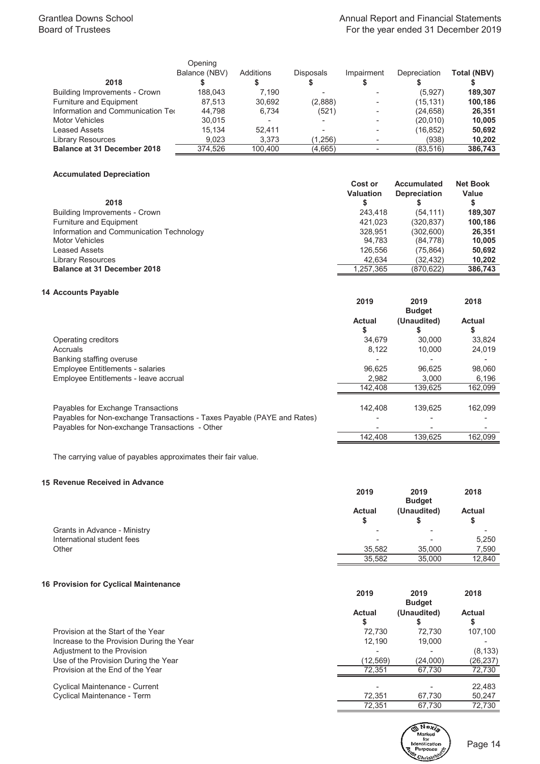|                                    | Opening       |           |           |                          |                     |                    |
|------------------------------------|---------------|-----------|-----------|--------------------------|---------------------|--------------------|
|                                    | Balance (NBV) | Additions | Disposals | Impairment               | <b>Depreciation</b> | <b>Total (NBV)</b> |
| 2018                               |               |           |           |                          |                     |                    |
| Building Improvements - Crown      | 188.043       | 7.190     |           |                          | (5,927)             | 189.307            |
| Furniture and Equipment            | 87.513        | 30,692    | (2,888)   |                          | (15, 131)           | 100,186            |
| Information and Communication Tec  | 44.798        | 6.734     | (521)     | $\overline{\phantom{0}}$ | (24, 658)           | 26,351             |
| <b>Motor Vehicles</b>              | 30.015        | ٠         |           |                          | (20,010)            | 10.005             |
| <b>Leased Assets</b>               | 15.134        | 52.411    |           |                          | (16, 852)           | 50,692             |
| <b>Library Resources</b>           | 9.023         | 3.373     | (1,256)   |                          | (938)               | 10,202             |
| <b>Balance at 31 December 2018</b> | 374.526       | 100.400   | (4,665)   |                          | (83.516)            | 386,743            |

# **Accumulated Depreciation**

| 2018                                     | Cost or<br><b>Valuation</b> | <b>Accumulated</b><br><b>Depreciation</b> | <b>Net Book</b><br>Value |
|------------------------------------------|-----------------------------|-------------------------------------------|--------------------------|
| Building Improvements - Crown            | 243.418                     | (54.111)                                  | 189.307                  |
| Furniture and Equipment                  | 421.023                     | (320,837)                                 | 100.186                  |
| Information and Communication Technology | 328.951                     | (302, 600)                                | 26.351                   |
| Motor Vehicles                           | 94.783                      | (84, 778)                                 | 10,005                   |
| Leased Assets                            | 126,556                     | (75, 864)                                 | 50,692                   |
| <b>Library Resources</b>                 | 42.634                      | (32,432)                                  | 10,202                   |
| <b>Balance at 31 December 2018</b>       | 1.257.365                   | (870, 622)                                | 386,743                  |

# **14 Accounts Payable**

|                                                                                                               | 2019          | 2019<br><b>Budget</b> | 2018          |
|---------------------------------------------------------------------------------------------------------------|---------------|-----------------------|---------------|
|                                                                                                               | <b>Actual</b> | (Unaudited)           | <b>Actual</b> |
| Operating creditors                                                                                           | 34.679        | 30.000                | 33.824        |
| Accruals                                                                                                      | 8.122         | 10.000                | 24,019        |
| Banking staffing overuse                                                                                      |               |                       |               |
| <b>Employee Entitlements - salaries</b>                                                                       | 96.625        | 96.625                | 98.060        |
| Employee Entitlements - leave accrual                                                                         | 2.982         | 3,000                 | 6,196         |
|                                                                                                               | 142.408       | 139.625               | 162,099       |
| Payables for Exchange Transactions<br>Payables for Non-exchange Transactions - Taxes Payable (PAYE and Rates) | 142.408       | 139.625               | 162.099       |
| Payables for Non-exchange Transactions - Other                                                                |               |                       |               |
|                                                                                                               | 142.408       | 139.625               | 162.099       |

The carrying value of payables approximates their fair value.

# **15 Revenue Received in Advance**

|                              | 2019          | 2019<br><b>Budget</b> | 2018          |
|------------------------------|---------------|-----------------------|---------------|
|                              | <b>Actual</b> | (Unaudited)           | <b>Actual</b> |
|                              | S             |                       | S             |
| Grants in Advance - Ministry | -             | -                     |               |
| International student fees   | -             |                       | 5,250         |
| Other                        | 35.582        | 35.000                | 7,590         |
|                              | 35,582        | 35.000                | 12.840        |

# **16 Provision for Cyclical Maintenance**

|                                           | 2019               | 2019<br><b>Budget</b> | 2018          |
|-------------------------------------------|--------------------|-----------------------|---------------|
|                                           | <b>Actual</b><br>จ | (Unaudited)           | <b>Actual</b> |
| Provision at the Start of the Year        | 72.730             | 72.730                | 107,100       |
| Increase to the Provision During the Year | 12.190             | 19,000                |               |
| Adjustment to the Provision               |                    |                       | (8, 133)      |
| Use of the Provision During the Year      | (12,569)           | (24,000)              | (26,237)      |
| Provision at the End of the Year          | 72.351             | 67.730                | 72.730        |
| Cyclical Maintenance - Current            |                    |                       | 22,483        |
| Cyclical Maintenance - Term               | 72,351             | 67,730                | 50,247        |
|                                           | 72.351             | 67.730                | 72.730        |



Page 14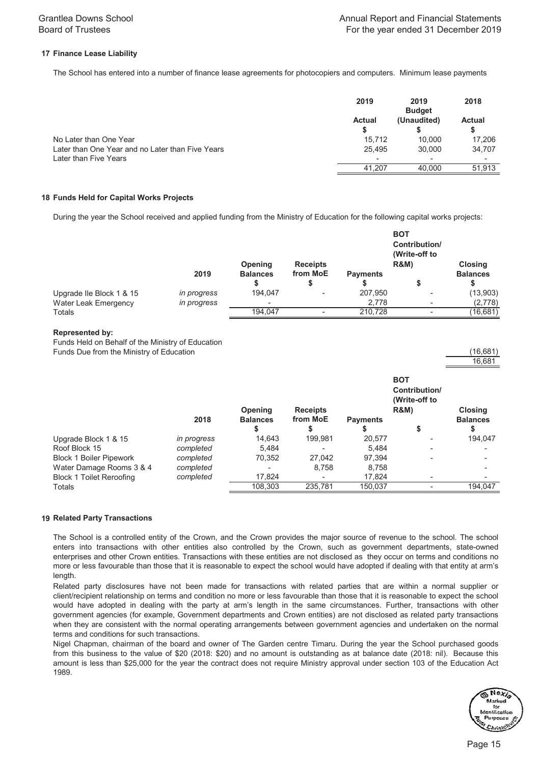# **17 Finance Lease Liability**

The School has entered into a number of finance lease agreements for photocopiers and computers. Minimum lease payments

|                                                  | 2019                     | 2019<br><b>Budget</b> | 2018                     |
|--------------------------------------------------|--------------------------|-----------------------|--------------------------|
|                                                  | <b>Actual</b>            | (Unaudited)           | <b>Actual</b>            |
| No Later than One Year                           | 15.712                   | 10.000                | 17.206                   |
| Later than One Year and no Later than Five Years | 25.495                   | 30,000                | 34,707                   |
| Later than Five Years                            | $\overline{\phantom{a}}$ | -                     | $\overline{\phantom{a}}$ |
|                                                  | 41.207                   | 40.000                | 51.913                   |

## **18 Funds Held for Capital Works Projects**

During the year the School received and applied funding from the Ministry of Education for the following capital works projects:

|                             |             | Opening         | <b>Receipts</b> |                 | <b>BOT</b><br>Contribution/<br>(Write-off to<br><b>R&amp;M)</b> | <b>Closing</b>  |
|-----------------------------|-------------|-----------------|-----------------|-----------------|-----------------------------------------------------------------|-----------------|
|                             | 2019        | <b>Balances</b> | from MoE        | <b>Payments</b> |                                                                 | <b>Balances</b> |
| Upgrade Ile Block 1 & 15    | in progress | 194.047         | -               | 207,950         | -                                                               | (13,903)        |
| <b>Water Leak Emergency</b> | in progress | ٠               |                 | 2.778           |                                                                 | (2,778)         |
| Totals                      |             | 194,047         |                 | 210.728         |                                                                 | (16,681)        |

#### **Represented by:**

Funds Held on Behalf of the Ministry of Education Funds Due from the Ministry of Education (16,681)

|                                 | 2018        | <b>Opening</b><br><b>Balances</b><br>ъ | <b>Receipts</b><br>from MoE | <b>Payments</b> | <b>BOT</b><br>Contribution/<br>(Write-off to<br><b>R&amp;M)</b> | <b>Closing</b><br><b>Balances</b> |
|---------------------------------|-------------|----------------------------------------|-----------------------------|-----------------|-----------------------------------------------------------------|-----------------------------------|
| Upgrade Block 1 & 15            | in progress | 14.643                                 | 199.981                     | 20.577          |                                                                 | 194,047                           |
| Roof Block 15                   | completed   | 5.484                                  |                             | 5.484           | ۰                                                               |                                   |
| <b>Block 1 Boiler Pipework</b>  | completed   | 70,352                                 | 27.042                      | 97.394          | ۰                                                               | -                                 |
| Water Damage Rooms 3 & 4        | completed   | $\overline{\phantom{a}}$               | 8,758                       | 8.758           |                                                                 |                                   |
| <b>Block 1 Toilet Reroofing</b> | completed   | 17,824                                 | ۰                           | 17.824          | -                                                               |                                   |
| Totals                          |             | 108,303                                | 235,781                     | 150,037         | ۰                                                               | 194,047                           |

## **19 Related Party Transactions**

The School is a controlled entity of the Crown, and the Crown provides the major source of revenue to the school. The school enters into transactions with other entities also controlled by the Crown, such as government departments, state-owned enterprises and other Crown entities. Transactions with these entities are not disclosed as they occur on terms and conditions no more or less favourable than those that it is reasonable to expect the school would have adopted if dealing with that entity at arm's length.

Related party disclosures have not been made for transactions with related parties that are within a normal supplier or client/recipient relationship on terms and condition no more or less favourable than those that it is reasonable to expect the school would have adopted in dealing with the party at arm's length in the same circumstances. Further, transactions with other government agencies (for example, Government departments and Crown entities) are not disclosed as related party transactions when they are consistent with the normal operating arrangements between government agencies and undertaken on the normal terms and conditions for such transactions.

Nigel Chapman, chairman of the board and owner of The Garden centre Timaru. During the year the School purchased goods from this business to the value of \$20 (2018: \$20) and no amount is outstanding as at balance date (2018: nil). Because this amount is less than \$25,000 for the year the contract does not require Ministry approval under section 103 of the Education Act 1989.



16,681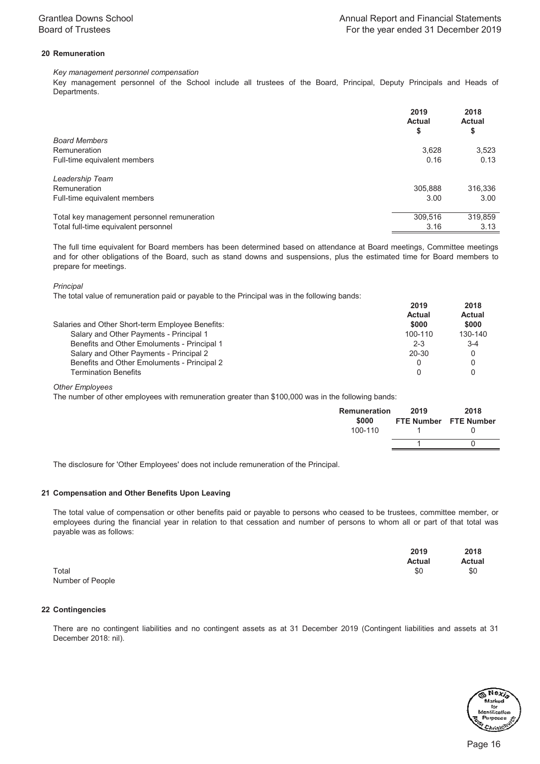# **20 Remuneration**

# *Key management personnel compensation*

Key management personnel of the School include all trustees of the Board, Principal, Deputy Principals and Heads of Departments.

|                                             | 2019<br><b>Actual</b><br>\$ | 2018<br><b>Actual</b><br>\$ |
|---------------------------------------------|-----------------------------|-----------------------------|
| <b>Board Members</b>                        |                             |                             |
| Remuneration                                | 3,628                       | 3,523                       |
| Full-time equivalent members                | 0.16                        | 0.13                        |
| Leadership Team                             |                             |                             |
| Remuneration                                | 305,888                     | 316,336                     |
| Full-time equivalent members                | 3.00                        | 3.00                        |
| Total key management personnel remuneration | 309.516                     | 319.859                     |
| Total full-time equivalent personnel        | 3.16                        | 3.13                        |

The full time equivalent for Board members has been determined based on attendance at Board meetings, Committee meetings and for other obligations of the Board, such as stand downs and suspensions, plus the estimated time for Board members to prepare for meetings.

*Principal* 

The total value of remuneration paid or payable to the Principal was in the following bands:

| 2019    | 2018<br>Actual         |
|---------|------------------------|
|         | \$000                  |
| 100-110 | 130-140                |
| $2 - 3$ | $3 - 4$                |
| 20-30   |                        |
|         |                        |
|         |                        |
|         | <b>Actual</b><br>\$000 |

*Other Employees*

The number of other employees with remuneration greater than \$100,000 was in the following bands:

| Remuneration | 2019 | 2018                  |
|--------------|------|-----------------------|
| \$000        |      | FTE Number FTE Number |
| 100-110      |      |                       |
|              |      |                       |
|              |      |                       |

The disclosure for 'Other Employees' does not include remuneration of the Principal.

# **21 Compensation and Other Benefits Upon Leaving**

The total value of compensation or other benefits paid or payable to persons who ceased to be trustees, committee member, or employees during the financial year in relation to that cessation and number of persons to whom all or part of that total was payable was as follows:

|       | 2019          | 2018          |
|-------|---------------|---------------|
|       | <b>Actual</b> | <b>Actual</b> |
| Total | \$0           | $\degree$     |

Number of People

## **22 Contingencies**

There are no contingent liabilities and no contingent assets as at 31 December 2019 (Contingent liabilities and assets at 31 December 2018: nil).

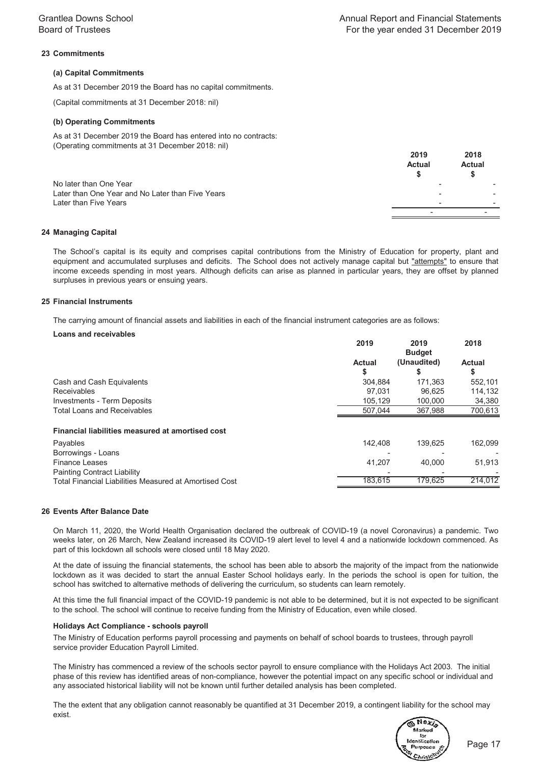# **23 Commitments**

## **(a) Capital Commitments**

As at 31 December 2019 the Board has no capital commitments.

(Capital commitments at 31 December 2018: nil)

#### **(b) Operating Commitments**

(Operating commitments at 31 December 2018: nil) As at 31 December 2019 the Board has entered into no contracts:

|                                                                            | <b>Actual</b> | <b>Actual</b> |
|----------------------------------------------------------------------------|---------------|---------------|
| No later than One Year<br>Later than One Year and No Later than Five Years |               |               |
| Later than Five Years                                                      |               |               |

#### **24 Managing Capital**

The School's capital is its equity and comprises capital contributions from the Ministry of Education for property, plant and equipment and accumulated surpluses and deficits. The School does not actively manage capital but "attempts" to ensure that income exceeds spending in most years. Although deficits can arise as planned in particular years, they are offset by planned surpluses in previous years or ensuing years.

#### **25 Financial Instruments**

The carrying amount of financial assets and liabilities in each of the financial instrument categories are as follows:

#### **Loans and receivables**

|                                                        | 2019               | 2019<br><b>Budget</b> | 2018                |
|--------------------------------------------------------|--------------------|-----------------------|---------------------|
|                                                        | <b>Actual</b><br>S | (Unaudited)<br>S      | <b>Actual</b><br>\$ |
| Cash and Cash Equivalents                              | 304.884            | 171,363               | 552,101             |
| <b>Receivables</b>                                     | 97.031             | 96.625                | 114,132             |
| Investments - Term Deposits                            | 105.129            | 100.000               | 34,380              |
| <b>Total Loans and Receivables</b>                     | 507.044            | 367,988               | 700,613             |
| Financial liabilities measured at amortised cost       |                    |                       |                     |
| Payables                                               | 142.408            | 139.625               | 162,099             |
| Borrowings - Loans                                     |                    |                       |                     |
| <b>Finance Leases</b>                                  | 41,207             | 40.000                | 51,913              |
| <b>Painting Contract Liability</b>                     |                    |                       |                     |
| Total Financial Liabilities Measured at Amortised Cost | 183.615            | 179.625               | 214.012             |

#### **26 Events After Balance Date**

On March 11, 2020, the World Health Organisation declared the outbreak of COVID-19 (a novel Coronavirus) a pandemic. Two weeks later, on 26 March, New Zealand increased its COVID-19 alert level to level 4 and a nationwide lockdown commenced. As part of this lockdown all schools were closed until 18 May 2020.

At the date of issuing the financial statements, the school has been able to absorb the majority of the impact from the nationwide lockdown as it was decided to start the annual Easter School holidays early. In the periods the school is open for tuition, the school has switched to alternative methods of delivering the curriculum, so students can learn remotely.

At this time the full financial impact of the COVID-19 pandemic is not able to be determined, but it is not expected to be significant to the school. The school will continue to receive funding from the Ministry of Education, even while closed.

#### **Holidays Act Compliance - schools payroll**

The Ministry of Education performs payroll processing and payments on behalf of school boards to trustees, through payroll service provider Education Payroll Limited.

The Ministry has commenced a review of the schools sector payroll to ensure compliance with the Holidays Act 2003. The initial phase of this review has identified areas of non-compliance, however the potential impact on any specific school or individual and any associated historical liability will not be known until further detailed analysis has been completed.

The the extent that any obligation cannot reasonably be quantified at 31 December 2019, a contingent liability for the school may exist.

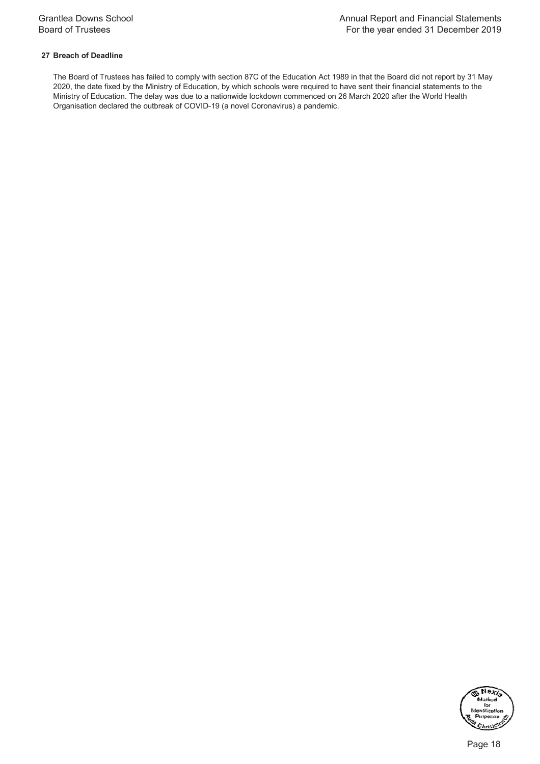# **27 Breach of Deadline**

The Board of Trustees has failed to comply with section 87C of the Education Act 1989 in that the Board did not report by 31 May 2020, the date fixed by the Ministry of Education, by which schools were required to have sent their financial statements to the Ministry of Education. The delay was due to a nationwide lockdown commenced on 26 March 2020 after the World Health Organisation declared the outbreak of COVID-19 (a novel Coronavirus) a pandemic.

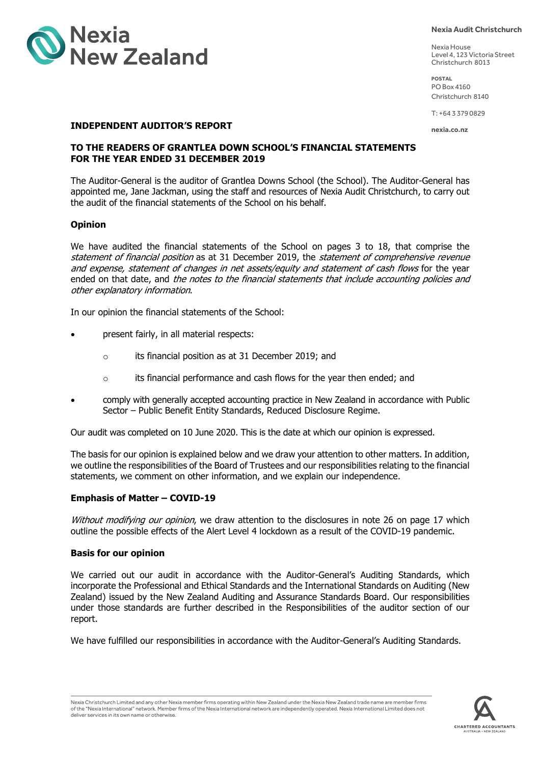

#### **Nexia Audit Christchurch**

Nexia House Level 4, 123 Victoria Street Christchurch 8013

**POSTAL** PO Box 4160 Christchurch 8140

T: +64 3 379 0829

**nexia.co.nz**

# **INDEPENDENT AUDITOR'S REPORT**

# **TO THE READERS OF GRANTLEA DOWN SCHOOL'S FINANCIAL STATEMENTS FOR THE YEAR ENDED 31 DECEMBER 2019**

The Auditor-General is the auditor of Grantlea Downs School (the School). The Auditor-General has appointed me, Jane Jackman, using the staff and resources of Nexia Audit Christchurch, to carry out the audit of the financial statements of the School on his behalf.

# **Opinion**

We have audited the financial statements of the School on pages 3 to 18, that comprise the statement of financial position as at 31 December 2019, the statement of comprehensive revenue and expense, statement of changes in net assets/equity and statement of cash flows for the year ended on that date, and the notes to the financial statements that include accounting policies and other explanatory information.

In our opinion the financial statements of the School:

- present fairly, in all material respects:
	- o its financial position as at 31 December 2019; and
	- o its financial performance and cash flows for the year then ended; and
- comply with generally accepted accounting practice in New Zealand in accordance with Public Sector – Public Benefit Entity Standards, Reduced Disclosure Regime.

Our audit was completed on 10 June 2020. This is the date at which our opinion is expressed.

The basis for our opinion is explained below and we draw your attention to other matters. In addition, we outline the responsibilities of the Board of Trustees and our responsibilities relating to the financial statements, we comment on other information, and we explain our independence.

# **Emphasis of Matter – COVID-19**

Without modifying our opinion, we draw attention to the disclosures in note 26 on page 17 which outline the possible effects of the Alert Level 4 lockdown as a result of the COVID-19 pandemic.

## **Basis for our opinion**

We carried out our audit in accordance with the Auditor-General's Auditing Standards, which incorporate the Professional and Ethical Standards and the International Standards on Auditing (New Zealand) issued by the New Zealand Auditing and Assurance Standards Board. Our responsibilities under those standards are further described in the Responsibilities of the auditor section of our report.

We have fulfilled our responsibilities in accordance with the Auditor-General's Auditing Standards.

Nexia Christchurch Limited and any other Nexia member firms operating within New Zealand under the Nexia New Zealand trade name are member firms of the "Nexia International" network. Member firms of the Nexia International network are independently operated. Nexia International Limited does not deliver services in its own name or otherwise.

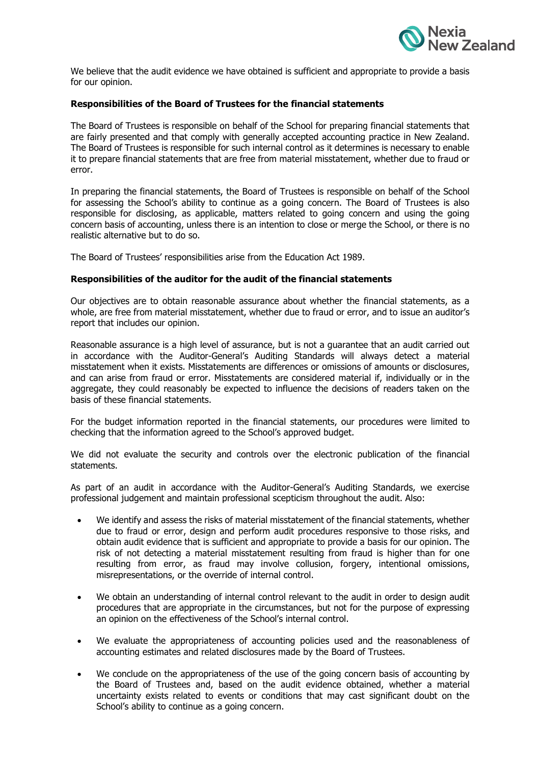

We believe that the audit evidence we have obtained is sufficient and appropriate to provide a basis for our opinion.

# **Responsibilities of the Board of Trustees for the financial statements**

The Board of Trustees is responsible on behalf of the School for preparing financial statements that are fairly presented and that comply with generally accepted accounting practice in New Zealand. The Board of Trustees is responsible for such internal control as it determines is necessary to enable it to prepare financial statements that are free from material misstatement, whether due to fraud or error.

In preparing the financial statements, the Board of Trustees is responsible on behalf of the School for assessing the School's ability to continue as a going concern. The Board of Trustees is also responsible for disclosing, as applicable, matters related to going concern and using the going concern basis of accounting, unless there is an intention to close or merge the School, or there is no realistic alternative but to do so.

The Board of Trustees' responsibilities arise from the Education Act 1989.

# **Responsibilities of the auditor for the audit of the financial statements**

Our objectives are to obtain reasonable assurance about whether the financial statements, as a whole, are free from material misstatement, whether due to fraud or error, and to issue an auditor's report that includes our opinion.

Reasonable assurance is a high level of assurance, but is not a guarantee that an audit carried out in accordance with the Auditor-General's Auditing Standards will always detect a material misstatement when it exists. Misstatements are differences or omissions of amounts or disclosures, and can arise from fraud or error. Misstatements are considered material if, individually or in the aggregate, they could reasonably be expected to influence the decisions of readers taken on the basis of these financial statements.

For the budget information reported in the financial statements, our procedures were limited to checking that the information agreed to the School's approved budget.

We did not evaluate the security and controls over the electronic publication of the financial statements.

As part of an audit in accordance with the Auditor-General's Auditing Standards, we exercise professional judgement and maintain professional scepticism throughout the audit. Also:

- We identify and assess the risks of material misstatement of the financial statements, whether due to fraud or error, design and perform audit procedures responsive to those risks, and obtain audit evidence that is sufficient and appropriate to provide a basis for our opinion. The risk of not detecting a material misstatement resulting from fraud is higher than for one resulting from error, as fraud may involve collusion, forgery, intentional omissions, misrepresentations, or the override of internal control.
- We obtain an understanding of internal control relevant to the audit in order to design audit procedures that are appropriate in the circumstances, but not for the purpose of expressing an opinion on the effectiveness of the School's internal control.
- We evaluate the appropriateness of accounting policies used and the reasonableness of accounting estimates and related disclosures made by the Board of Trustees.
- We conclude on the appropriateness of the use of the going concern basis of accounting by the Board of Trustees and, based on the audit evidence obtained, whether a material uncertainty exists related to events or conditions that may cast significant doubt on the School's ability to continue as a going concern.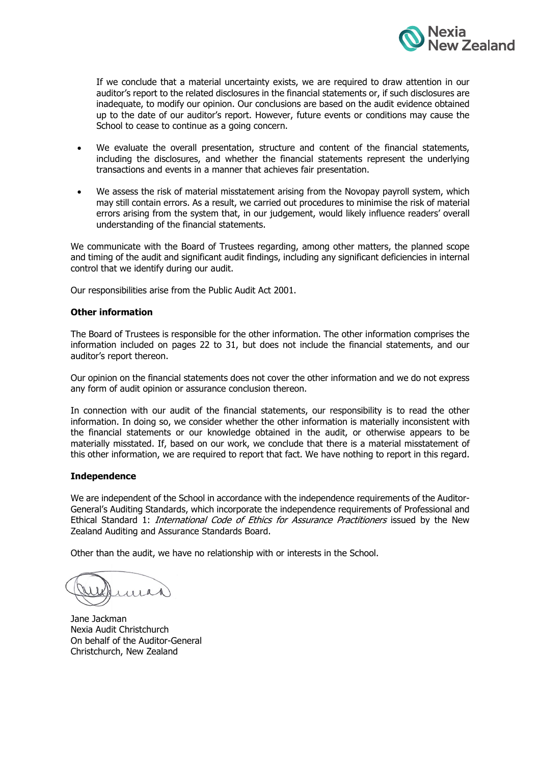

If we conclude that a material uncertainty exists, we are required to draw attention in our auditor's report to the related disclosures in the financial statements or, if such disclosures are inadequate, to modify our opinion. Our conclusions are based on the audit evidence obtained up to the date of our auditor's report. However, future events or conditions may cause the School to cease to continue as a going concern.

- We evaluate the overall presentation, structure and content of the financial statements, including the disclosures, and whether the financial statements represent the underlying transactions and events in a manner that achieves fair presentation.
- We assess the risk of material misstatement arising from the Novopay payroll system, which may still contain errors. As a result, we carried out procedures to minimise the risk of material errors arising from the system that, in our judgement, would likely influence readers' overall understanding of the financial statements.

We communicate with the Board of Trustees regarding, among other matters, the planned scope and timing of the audit and significant audit findings, including any significant deficiencies in internal control that we identify during our audit.

Our responsibilities arise from the Public Audit Act 2001.

# **Other information**

The Board of Trustees is responsible for the other information. The other information comprises the information included on pages 22 to 31, but does not include the financial statements, and our auditor's report thereon.

Our opinion on the financial statements does not cover the other information and we do not express any form of audit opinion or assurance conclusion thereon.

In connection with our audit of the financial statements, our responsibility is to read the other information. In doing so, we consider whether the other information is materially inconsistent with the financial statements or our knowledge obtained in the audit, or otherwise appears to be materially misstated. If, based on our work, we conclude that there is a material misstatement of this other information, we are required to report that fact. We have nothing to report in this regard.

# **Independence**

We are independent of the School in accordance with the independence requirements of the Auditor-General's Auditing Standards, which incorporate the independence requirements of Professional and Ethical Standard 1: International Code of Ethics for Assurance Practitioners issued by the New Zealand Auditing and Assurance Standards Board.

Other than the audit, we have no relationship with or interests in the School.

 $111R$ 

Jane Jackman Nexia Audit Christchurch On behalf of the Auditor-General Christchurch, New Zealand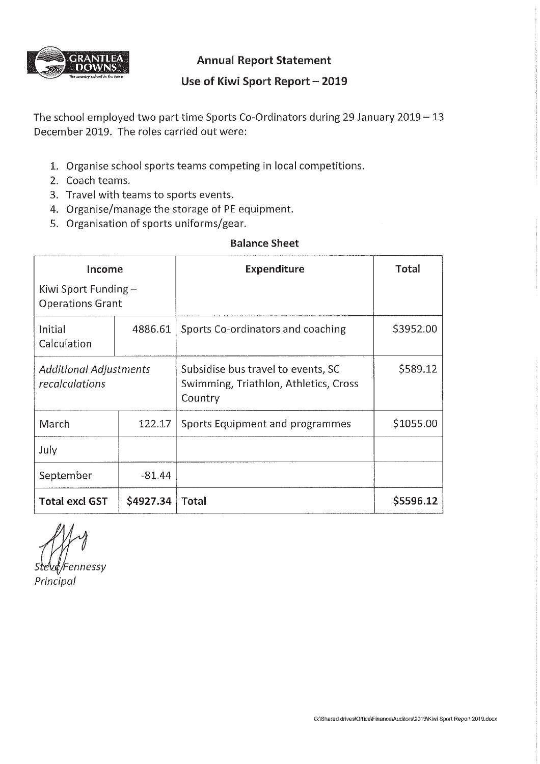

**Annual Report Statement** 

# Use of Kiwi Sport Report - 2019

The school employed two part time Sports Co-Ordinators during 29 January 2019 - 13 December 2019. The roles carried out were:

- 1. Organise school sports teams competing in local competitions.
- 2. Coach teams.
- 3. Travel with teams to sports events.
- 4. Organise/manage the storage of PE equipment.
- 5. Organisation of sports uniforms/gear.

# **Balance Sheet**

| Income<br>Kiwi Sport Funding $-$<br><b>Operations Grant</b> |           | <b>Expenditure</b>                                                                     | Total     |
|-------------------------------------------------------------|-----------|----------------------------------------------------------------------------------------|-----------|
| Initial<br>Calculation                                      | 4886.61   | Sports Co-ordinators and coaching                                                      | \$3952.00 |
| <b>Additional Adjustments</b><br>recalculations             |           | Subsidise bus travel to events, SC<br>Swimming, Triathlon, Athletics, Cross<br>Country | \$589.12  |
| March                                                       | 122.17    | Sports Equipment and programmes                                                        | \$1055.00 |
| July                                                        |           |                                                                                        |           |
| September                                                   | $-81.44$  |                                                                                        |           |
| <b>Total excl GST</b>                                       | \$4927.34 | <b>Total</b>                                                                           | \$5596.12 |

ennessy

Principal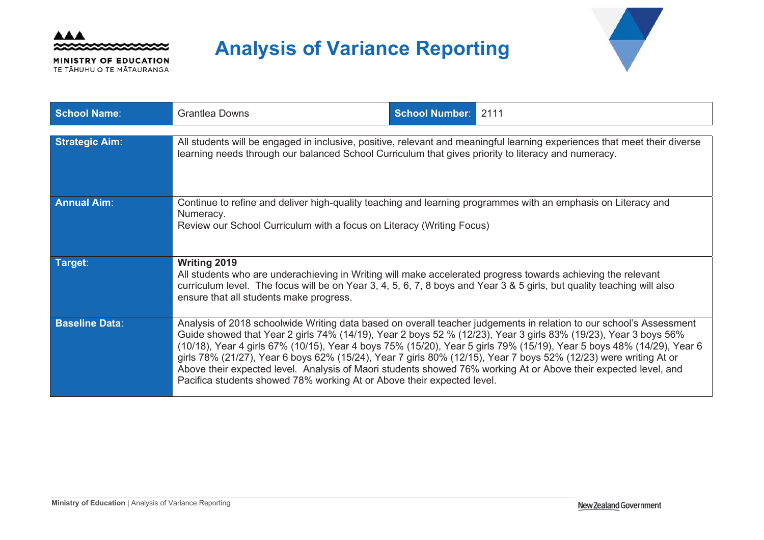

MINISTRY OF EDUCATION TE TĂHUHU O TE MĂTAURANGA

# **Analysis of Variance Reporting**



| <b>School Name:</b>   | <b>Grantlea Downs</b>                                                                                                                                                                                                                                                                                                                                                                                                            | <b>School Number: 2111</b> |                                                                                                                                                                                                                                              |
|-----------------------|----------------------------------------------------------------------------------------------------------------------------------------------------------------------------------------------------------------------------------------------------------------------------------------------------------------------------------------------------------------------------------------------------------------------------------|----------------------------|----------------------------------------------------------------------------------------------------------------------------------------------------------------------------------------------------------------------------------------------|
| <b>Strategic Aim:</b> | learning needs through our balanced School Curriculum that gives priority to literacy and numeracy.                                                                                                                                                                                                                                                                                                                              |                            | All students will be engaged in inclusive, positive, relevant and meaningful learning experiences that meet their diverse                                                                                                                    |
| <b>Annual Aim:</b>    | Continue to refine and deliver high-quality teaching and learning programmes with an emphasis on Literacy and<br>Numeracy.<br>Review our School Curriculum with a focus on Literacy (Writing Focus)                                                                                                                                                                                                                              |                            |                                                                                                                                                                                                                                              |
| Target:               | <b>Writing 2019</b><br>All students who are underachieving in Writing will make accelerated progress towards achieving the relevant<br>curriculum level. The focus will be on Year 3, 4, 5, 6, 7, 8 boys and Year 3 & 5 girls, but quality teaching will also<br>ensure that all students make progress.                                                                                                                         |                            |                                                                                                                                                                                                                                              |
| <b>Baseline Data:</b> | Guide showed that Year 2 girls 74% (14/19), Year 2 boys 52 % (12/23), Year 3 girls 83% (19/23), Year 3 boys 56%<br>girls 78% (21/27), Year 6 boys 62% (15/24), Year 7 girls 80% (12/15), Year 7 boys 52% (12/23) were writing At or<br>Above their expected level. Analysis of Maori students showed 76% working At or Above their expected level, and<br>Pacifica students showed 78% working At or Above their expected level. |                            | Analysis of 2018 schoolwide Writing data based on overall teacher judgements in relation to our school's Assessment<br>(10/18), Year 4 girls 67% (10/15), Year 4 boys 75% (15/20), Year 5 girls 79% (15/19), Year 5 boys 48% (14/29), Year 6 |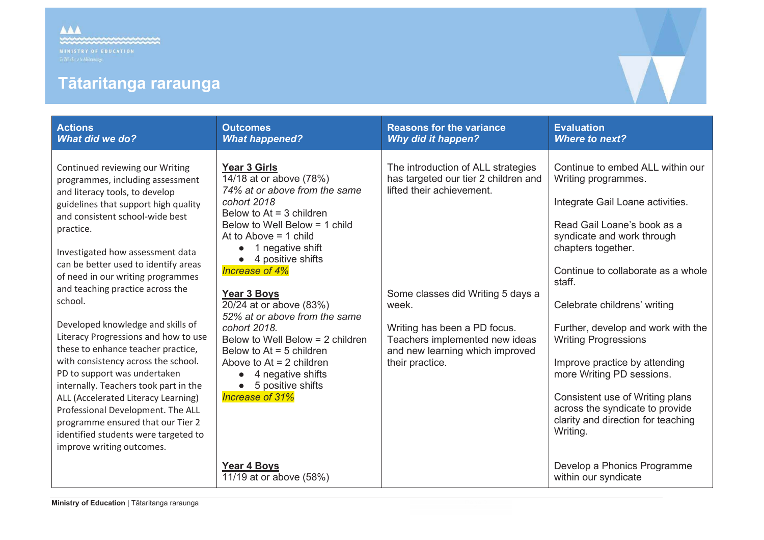# **Tātaritanga raraunga**

| <b>Actions</b><br><b>What did we do?</b>                                                                                                                                                                                                                                                                                                                                                                                                                                                                                                                                                                                                                                                                                                                                               | <b>Outcomes</b><br><b>What happened?</b>                                                                                                                                                                                                                                                                                                                                                                                                                                                                           | <b>Reasons for the variance</b><br><b>Why did it happen?</b>                                                                                                                                                                                                                  | <b>Evaluation</b><br><b>Where to next?</b>                                                                                                                                                                                                                                                                                                                                                                                                                                                                                |
|----------------------------------------------------------------------------------------------------------------------------------------------------------------------------------------------------------------------------------------------------------------------------------------------------------------------------------------------------------------------------------------------------------------------------------------------------------------------------------------------------------------------------------------------------------------------------------------------------------------------------------------------------------------------------------------------------------------------------------------------------------------------------------------|--------------------------------------------------------------------------------------------------------------------------------------------------------------------------------------------------------------------------------------------------------------------------------------------------------------------------------------------------------------------------------------------------------------------------------------------------------------------------------------------------------------------|-------------------------------------------------------------------------------------------------------------------------------------------------------------------------------------------------------------------------------------------------------------------------------|---------------------------------------------------------------------------------------------------------------------------------------------------------------------------------------------------------------------------------------------------------------------------------------------------------------------------------------------------------------------------------------------------------------------------------------------------------------------------------------------------------------------------|
| Continued reviewing our Writing<br>programmes, including assessment<br>and literacy tools, to develop<br>guidelines that support high quality<br>and consistent school-wide best<br>practice.<br>Investigated how assessment data<br>can be better used to identify areas<br>of need in our writing programmes<br>and teaching practice across the<br>school.<br>Developed knowledge and skills of<br>Literacy Progressions and how to use<br>these to enhance teacher practice,<br>with consistency across the school.<br>PD to support was undertaken<br>internally. Teachers took part in the<br>ALL (Accelerated Literacy Learning)<br>Professional Development. The ALL<br>programme ensured that our Tier 2<br>identified students were targeted to<br>improve writing outcomes. | <b>Year 3 Girls</b><br>14/18 at or above (78%)<br>74% at or above from the same<br>cohort 2018<br>Below to $At = 3$ children<br>Below to Well Below = 1 child<br>At to Above $= 1$ child<br>1 negative shift<br>4 positive shifts<br>Increase of 4%<br>Year 3 Boys<br>20/24 at or above (83%)<br>52% at or above from the same<br>cohort 2018.<br>Below to Well Below = 2 children<br>Below to $At = 5$ children<br>Above to $At = 2$ children<br>4 negative shifts<br>5 positive shifts<br><b>Increase of 31%</b> | The introduction of ALL strategies<br>has targeted our tier 2 children and<br>lifted their achievement.<br>Some classes did Writing 5 days a<br>week.<br>Writing has been a PD focus.<br>Teachers implemented new ideas<br>and new learning which improved<br>their practice. | Continue to embed ALL within our<br>Writing programmes.<br>Integrate Gail Loane activities.<br>Read Gail Loane's book as a<br>syndicate and work through<br>chapters together.<br>Continue to collaborate as a whole<br>staff.<br>Celebrate childrens' writing<br>Further, develop and work with the<br><b>Writing Progressions</b><br>Improve practice by attending<br>more Writing PD sessions.<br>Consistent use of Writing plans<br>across the syndicate to provide<br>clarity and direction for teaching<br>Writing. |
|                                                                                                                                                                                                                                                                                                                                                                                                                                                                                                                                                                                                                                                                                                                                                                                        | <b>Year 4 Boys</b><br>11/19 at or above (58%)                                                                                                                                                                                                                                                                                                                                                                                                                                                                      |                                                                                                                                                                                                                                                                               | Develop a Phonics Programme<br>within our syndicate                                                                                                                                                                                                                                                                                                                                                                                                                                                                       |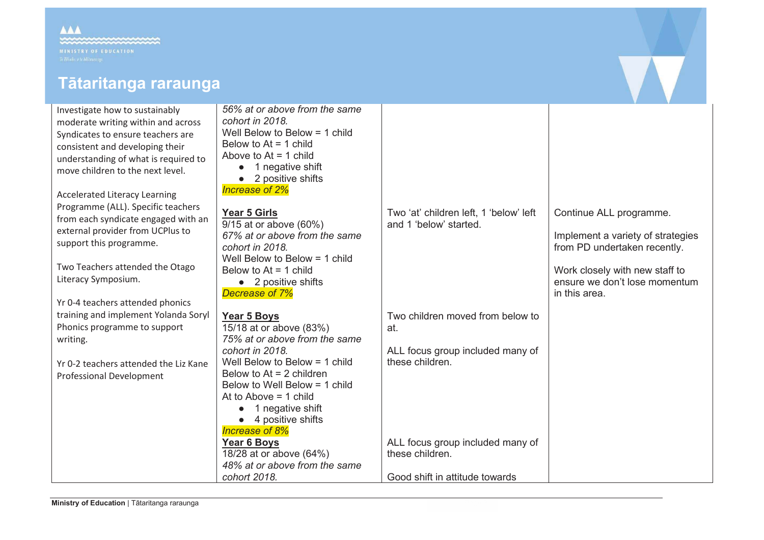# **Tātaritanga raraunga**

Investigate how to sustainably moderate writing within Syndicates to ensure tea consistent and developi understanding of what move children to the ne

Accelerated Literacy Lea Programme (ALL). Speci from each syndicate eng external provider from support this programme

Two Teachers attended Literacy Symposium.

Yr 0-4 teachers attended training and implement Phonics programme to writing.

Yr 0-2 teachers attended Professional Developme

| ainably<br>n and across<br>achers are<br>ing their<br>is required to<br>xt level.            | 56% at or above from the same<br>cohort in 2018.<br>Well Below to Below $=$ 1 child<br>Below to $At = 1$ child<br>Above to $At = 1$ child<br>1 negative shift<br>• 2 positive shifts<br>Increase of 2%                                                                                    |                                                                                                |                                                                                                                                                                                  |
|----------------------------------------------------------------------------------------------|-------------------------------------------------------------------------------------------------------------------------------------------------------------------------------------------------------------------------------------------------------------------------------------------|------------------------------------------------------------------------------------------------|----------------------------------------------------------------------------------------------------------------------------------------------------------------------------------|
| arning<br>ific teachers<br>gaged with an<br><b>UCPlus to</b><br>е.<br>the Otago<br>d phonics | Year 5 Girls<br>9/15 at or above (60%)<br>67% at or above from the same<br>cohort in 2018.<br>Well Below to Below $=$ 1 child<br>Below to $At = 1$ child<br>• 2 positive shifts<br>Decrease of 7%                                                                                         | Two 'at' children left, 1 'below' left<br>and 1 'below' started.                               | Continue ALL programme.<br>Implement a variety of strategies<br>from PD undertaken recently.<br>Work closely with new staff to<br>ensure we don't lose momentum<br>in this area. |
| Yolanda Soryl<br>support<br>d the Liz Kane<br>ent                                            | Year 5 Boys<br>15/18 at or above (83%)<br>75% at or above from the same<br>cohort in 2018.<br>Well Below to Below $=$ 1 child<br>Below to $At = 2$ children<br>Below to Well Below = 1 child<br>At to Above $= 1$ child<br>1 negative shift<br>4 positive shifts<br><b>Increase of 8%</b> | Two children moved from below to<br>at.<br>ALL focus group included many of<br>these children. |                                                                                                                                                                                  |
|                                                                                              | Year 6 Boys<br>18/28 at or above (64%)<br>48% at or above from the same<br>cohort 2018.                                                                                                                                                                                                   | ALL focus group included many of<br>these children.<br>Good shift in attitude towards          |                                                                                                                                                                                  |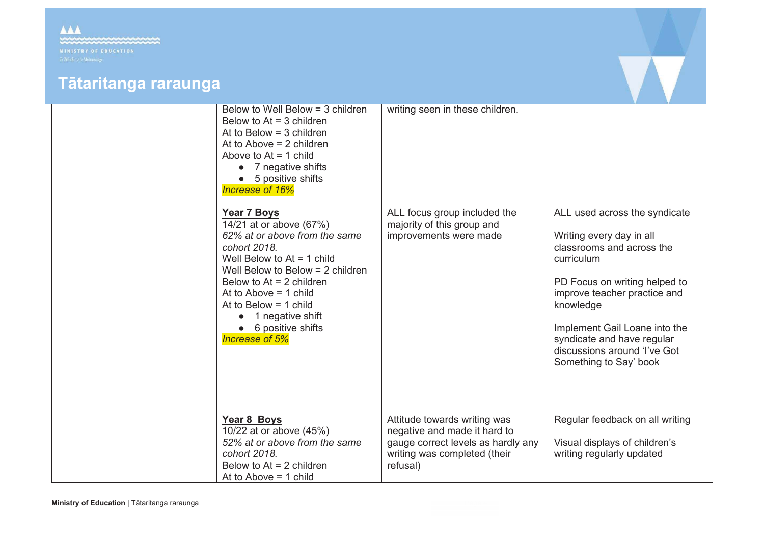

| Below to Well Below = 3 children<br>Below to $At = 3$ children<br>At to Below $=$ 3 children<br>At to Above $= 2$ children<br>Above to $At = 1$ child<br>7 negative shifts<br>5 positive shifts<br>Increase of 16%                                                                                                                  | writing seen in these children.                                                                                                                |                                                                                                                                                                                                                                                                                                             |
|-------------------------------------------------------------------------------------------------------------------------------------------------------------------------------------------------------------------------------------------------------------------------------------------------------------------------------------|------------------------------------------------------------------------------------------------------------------------------------------------|-------------------------------------------------------------------------------------------------------------------------------------------------------------------------------------------------------------------------------------------------------------------------------------------------------------|
| <b>Year 7 Boys</b><br>$\sqrt{14/21}$ at or above (67%)<br>62% at or above from the same<br>cohort 2018.<br>Well Below to $At = 1$ child<br>Well Below to Below $= 2$ children<br>Below to $At = 2$ children<br>At to Above $= 1$ child<br>At to Below $=$ 1 child<br>1 negative shift<br>6 positive shifts<br><b>Increase of 5%</b> | ALL focus group included the<br>majority of this group and<br>improvements were made                                                           | ALL used across the syndicate<br>Writing every day in all<br>classrooms and across the<br>curriculum<br>PD Focus on writing helped to<br>improve teacher practice and<br>knowledge<br>Implement Gail Loane into the<br>syndicate and have regular<br>discussions around 'I've Got<br>Something to Say' book |
| Year 8 Boys<br>10/22 at or above (45%)<br>52% at or above from the same<br>cohort 2018.<br>Below to $At = 2$ children<br>At to Above $= 1$ child                                                                                                                                                                                    | Attitude towards writing was<br>negative and made it hard to<br>gauge correct levels as hardly any<br>writing was completed (their<br>refusal) | Regular feedback on all writing<br>Visual displays of children's<br>writing regularly updated                                                                                                                                                                                                               |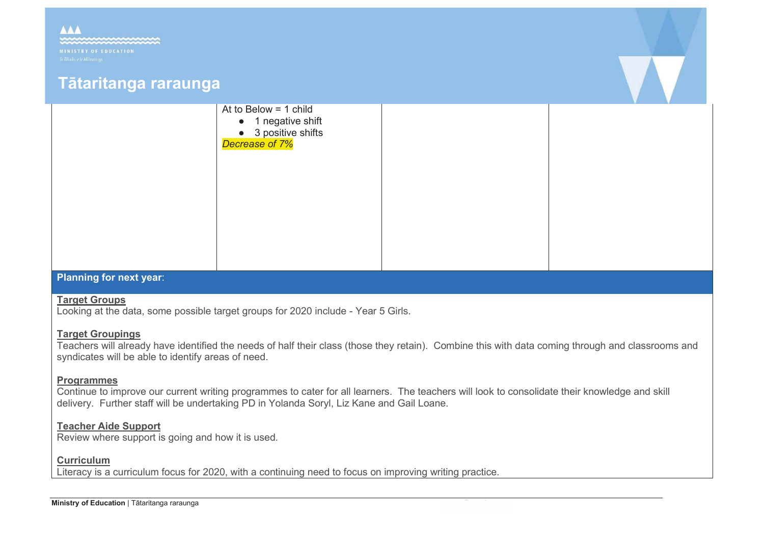

# **Planning for next year**:

# **Target Groups**

Looking at the data, some possible target groups for 2020 include - Year 5 Girls.

# **Target Groupings**

Teachers will already have identified the needs of half their class (those they retain). Combine this with data coming through and classrooms and syndicates will be able to identify areas of need.

# **Programmes**

Continue to improve our current writing programmes to cater for all learners. The teachers will look to consolidate their knowledge and skill delivery. Further staff will be undertaking PD in Yolanda Soryl, Liz Kane and Gail Loane.

# **Teacher Aide Support**

Review where support is going and how it is used.

# **Curriculum**

Literacy is a curriculum focus for 2020, with a continuing need to focus on improving writing practice.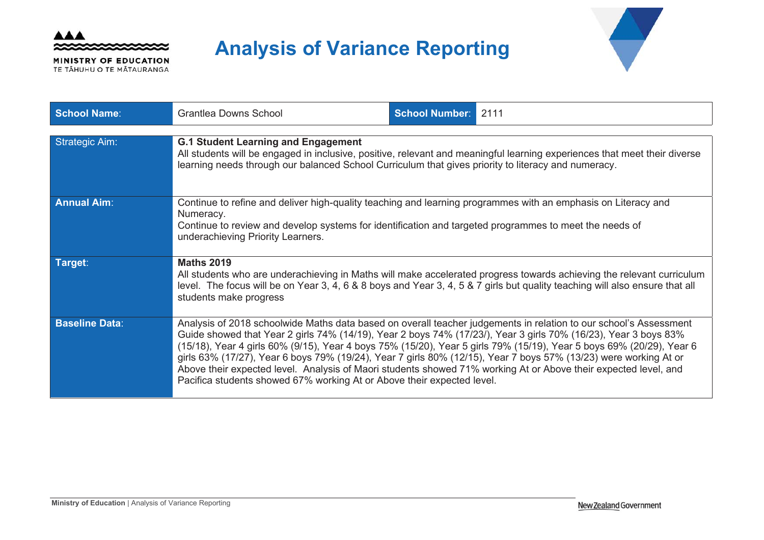

MINISTRY OF EDUCATION TE TĂHUHU O TE MĂTAURANGA

# **Analysis of Variance Reporting**



| <b>School Name:</b>   | <b>Grantlea Downs School</b>                                                                                                                                                                                                                                                                                                                                                                                                     | <b>School Number: 2111</b> |                                                                                                                                                                                                                                           |  |  |
|-----------------------|----------------------------------------------------------------------------------------------------------------------------------------------------------------------------------------------------------------------------------------------------------------------------------------------------------------------------------------------------------------------------------------------------------------------------------|----------------------------|-------------------------------------------------------------------------------------------------------------------------------------------------------------------------------------------------------------------------------------------|--|--|
| <b>Strategic Aim:</b> |                                                                                                                                                                                                                                                                                                                                                                                                                                  |                            |                                                                                                                                                                                                                                           |  |  |
|                       | <b>G.1 Student Learning and Engagement</b><br>All students will be engaged in inclusive, positive, relevant and meaningful learning experiences that meet their diverse<br>learning needs through our balanced School Curriculum that gives priority to literacy and numeracy.                                                                                                                                                   |                            |                                                                                                                                                                                                                                           |  |  |
| <b>Annual Aim:</b>    | Continue to refine and deliver high-quality teaching and learning programmes with an emphasis on Literacy and                                                                                                                                                                                                                                                                                                                    |                            |                                                                                                                                                                                                                                           |  |  |
|                       | Numeracy.<br>Continue to review and develop systems for identification and targeted programmes to meet the needs of<br>underachieving Priority Learners.                                                                                                                                                                                                                                                                         |                            |                                                                                                                                                                                                                                           |  |  |
| Target:               | <b>Maths 2019</b><br>All students who are underachieving in Maths will make accelerated progress towards achieving the relevant curriculum<br>level. The focus will be on Year 3, 4, 6 & 8 boys and Year 3, 4, 5 & 7 girls but quality teaching will also ensure that all<br>students make progress                                                                                                                              |                            |                                                                                                                                                                                                                                           |  |  |
| <b>Baseline Data:</b> | Guide showed that Year 2 girls 74% (14/19), Year 2 boys 74% (17/23/), Year 3 girls 70% (16/23), Year 3 boys 83%<br>girls 63% (17/27), Year 6 boys 79% (19/24), Year 7 girls 80% (12/15), Year 7 boys 57% (13/23) were working At or<br>Above their expected level. Analysis of Maori students showed 71% working At or Above their expected level, and<br>Pacifica students showed 67% working At or Above their expected level. |                            | Analysis of 2018 schoolwide Maths data based on overall teacher judgements in relation to our school's Assessment<br>(15/18), Year 4 girls 60% (9/15), Year 4 boys 75% (15/20), Year 5 girls 79% (15/19), Year 5 boys 69% (20/29), Year 6 |  |  |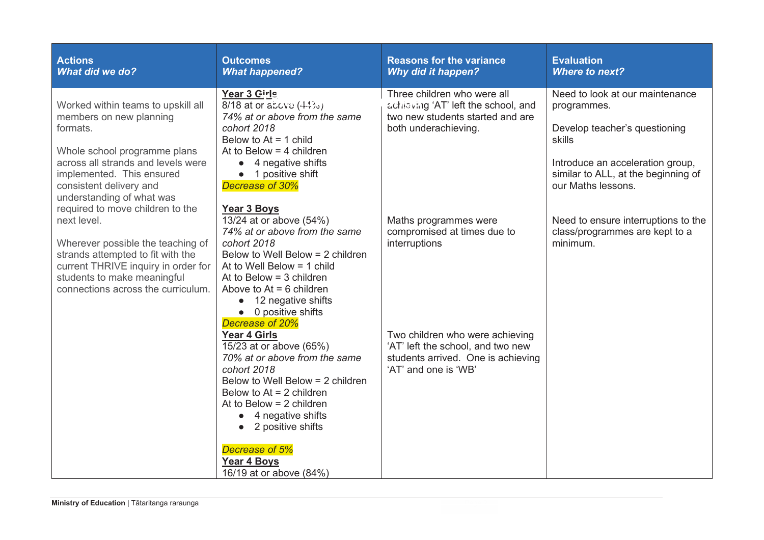| <b>Actions</b><br><b>What did we do?</b>                                                                                                                                                                                              | <b>Outcomes</b><br><b>What happened?</b>                                                                                                                                                                                                                                                                                 | <b>Reasons for the variance</b><br><b>Why did it happen?</b>                                                                       | <b>Evaluation</b><br><b>Where to next?</b>                                                                                                                                                 |
|---------------------------------------------------------------------------------------------------------------------------------------------------------------------------------------------------------------------------------------|--------------------------------------------------------------------------------------------------------------------------------------------------------------------------------------------------------------------------------------------------------------------------------------------------------------------------|------------------------------------------------------------------------------------------------------------------------------------|--------------------------------------------------------------------------------------------------------------------------------------------------------------------------------------------|
| Worked within teams to upskill all<br>members on new planning<br>formats.<br>Whole school programme plans<br>across all strands and levels were<br>implemented. This ensured<br>consistent delivery and<br>understanding of what was  | Year 3 Girls<br>8/18 at or above (44%)<br>74% at or above from the same<br>cohort 2018<br>Below to $At = 1$ child<br>At to Below $=$ 4 children<br>4 negative shifts<br>$\bullet$<br>• 1 positive shift<br>Decrease of 30%                                                                                               | Three children who were all<br>achieving 'AT' left the school, and<br>two new students started and are<br>both underachieving.     | Need to look at our maintenance<br>programmes.<br>Develop teacher's questioning<br>skills<br>Introduce an acceleration group,<br>similar to ALL, at the beginning of<br>our Maths lessons. |
| required to move children to the<br>next level.<br>Wherever possible the teaching of<br>strands attempted to fit with the<br>current THRIVE inquiry in order for<br>students to make meaningful<br>connections across the curriculum. | Year 3 Boys<br>13/24 at or above (54%)<br>74% at or above from the same<br>cohort 2018<br>Below to Well Below = 2 children<br>At to Well Below = 1 child<br>At to Below $=$ 3 children<br>Above to $At = 6$ children<br>12 negative shifts<br>$\bullet$<br>$\bullet$ 0 positive shifts<br>Decrease of 20%                | Maths programmes were<br>compromised at times due to<br>interruptions                                                              | Need to ensure interruptions to the<br>class/programmes are kept to a<br>minimum.                                                                                                          |
|                                                                                                                                                                                                                                       | <b>Year 4 Girls</b><br>15/23 at or above (65%)<br>70% at or above from the same<br>cohort 2018<br>Below to Well Below = 2 children<br>Below to $At = 2$ children<br>At to Below $= 2$ children<br>4 negative shifts<br>$\bullet$<br>2 positive shifts<br>Decrease of 5%<br><b>Year 4 Boys</b><br>16/19 at or above (84%) | Two children who were achieving<br>'AT' left the school, and two new<br>students arrived. One is achieving<br>'AT' and one is 'WB' |                                                                                                                                                                                            |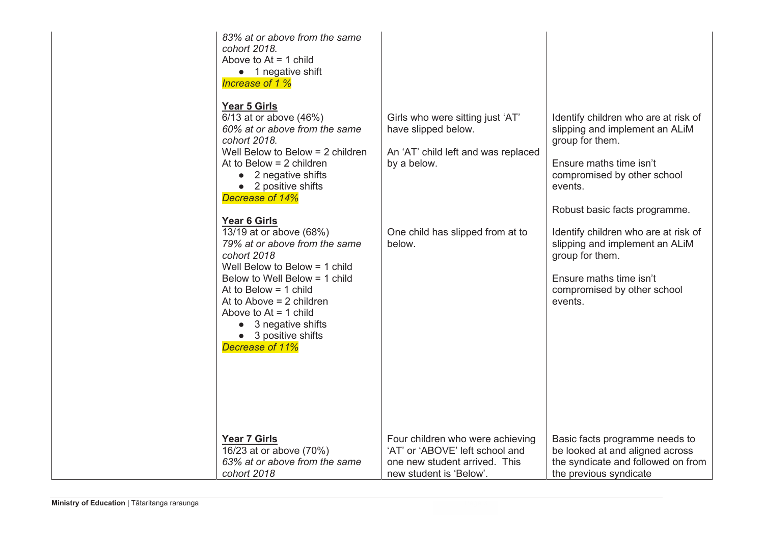| 83% at or above from the same<br>cohort 2018.<br>Above to $At = 1$ child<br>• 1 negative shift<br>Increase of 1 %<br>Year 5 Girls<br>$\overline{6}/13$ at or above (46%)<br>60% at or above from the same<br>cohort 2018.<br>Well Below to Below $= 2$ children<br>At to Below $= 2$ children<br>2 negative shifts<br>$\bullet$<br>• 2 positive shifts<br>Decrease of 14%<br>Year 6 Girls | Girls who were sitting just 'AT'<br>have slipped below.<br>An 'AT' child left and was replaced<br>by a below. | Identify children who are at risk of<br>slipping and implement an ALIM<br>group for them.<br>Ensure maths time isn't<br>compromised by other school<br>events.<br>Robust basic facts programme. |
|-------------------------------------------------------------------------------------------------------------------------------------------------------------------------------------------------------------------------------------------------------------------------------------------------------------------------------------------------------------------------------------------|---------------------------------------------------------------------------------------------------------------|-------------------------------------------------------------------------------------------------------------------------------------------------------------------------------------------------|
| 13/19 at or above (68%)<br>79% at or above from the same<br>cohort 2018<br>Well Below to Below $=$ 1 child<br>Below to Well Below = 1 child<br>At to Below $=$ 1 child<br>At to Above $= 2$ children<br>Above to $At = 1$ child<br>• 3 negative shifts<br>• 3 positive shifts<br>Decrease of 11%                                                                                          | One child has slipped from at to<br>below.                                                                    | Identify children who are at risk of<br>slipping and implement an ALIM<br>group for them.<br>Ensure maths time isn't<br>compromised by other school<br>events.                                  |
| Year 7 Girls                                                                                                                                                                                                                                                                                                                                                                              | Four children who were achieving                                                                              | Basic facts programme needs to                                                                                                                                                                  |
| 16/23 at or above (70%)                                                                                                                                                                                                                                                                                                                                                                   | 'AT' or 'ABOVE' left school and                                                                               | be looked at and aligned across                                                                                                                                                                 |
| 63% at or above from the same                                                                                                                                                                                                                                                                                                                                                             | one new student arrived. This                                                                                 | the syndicate and followed on from                                                                                                                                                              |
| cohort 2018                                                                                                                                                                                                                                                                                                                                                                               | new student is 'Below'.                                                                                       | the previous syndicate                                                                                                                                                                          |